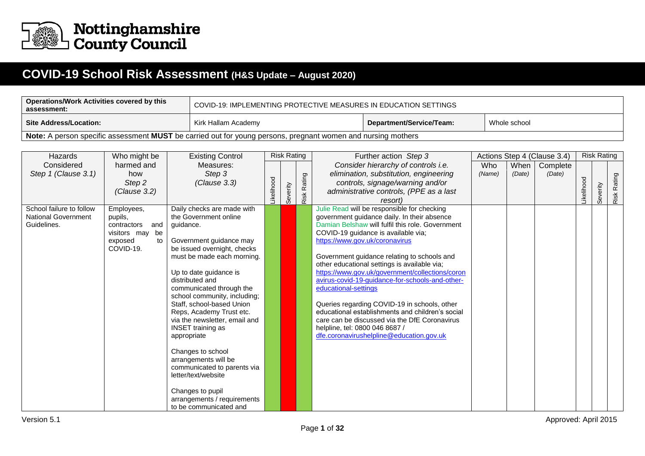

## **COVID-19 School Risk Assessment (H&S Update – August 2020)**

| <b>Operations/Work Activities covered by this</b><br>assessment:                                             | COVID-19: IMPLEMENTING PROTECTIVE MEASURES IN EDUCATION SETTINGS |                          |              |  |  |  |  |  |  |  |  |
|--------------------------------------------------------------------------------------------------------------|------------------------------------------------------------------|--------------------------|--------------|--|--|--|--|--|--|--|--|
| <b>Site Address/Location:</b>                                                                                | Kirk Hallam Academy                                              | Department/Service/Team: | Whole school |  |  |  |  |  |  |  |  |
| Note: A person specific assessment MUST be carried out for young persons, pregnant women and nursing mothers |                                                                  |                          |              |  |  |  |  |  |  |  |  |

| Hazards                    | Who might be       | <b>Existing Control</b>                               |           | <b>Risk Rating</b> |                    | Further action Step 3                                                                            |        |        | Actions Step 4 (Clause 3.4) | <b>Risk Rating</b> |        |
|----------------------------|--------------------|-------------------------------------------------------|-----------|--------------------|--------------------|--------------------------------------------------------------------------------------------------|--------|--------|-----------------------------|--------------------|--------|
| Considered                 | harmed and         | Measures:                                             |           |                    |                    | Consider hierarchy of controls i.e.                                                              | Who    | When   | Complete                    |                    |        |
| Step 1 (Clause 3.1)        | how                | Step 3                                                |           |                    |                    | elimination, substitution, engineering                                                           | (Name) | (Date) | (Date)                      |                    |        |
|                            | Step 2             | (Clause 3.3)                                          |           |                    |                    | controls, signage/warning and/or                                                                 |        |        |                             |                    | Rating |
|                            | (Clause 3.2)       |                                                       | ikelihood |                    |                    | administrative controls, (PPE as a last                                                          |        |        |                             |                    |        |
|                            |                    |                                                       |           | Severity           | <b>Risk Rating</b> | resort)                                                                                          |        |        |                             | Severity           | Risk I |
| School failure to follow   | Employees,         | Daily checks are made with                            |           |                    |                    | Julie Read will be responsible for checking                                                      |        |        |                             |                    |        |
| <b>National Government</b> | pupils,            | the Government online                                 |           |                    |                    | government guidance daily. In their absence                                                      |        |        |                             |                    |        |
| Guidelines.                | contractors<br>and | guidance.                                             |           |                    |                    | Damian Belshaw will fulfil this role. Government                                                 |        |        |                             |                    |        |
|                            | visitors may be    |                                                       |           |                    |                    | COVID-19 guidance is available via;                                                              |        |        |                             |                    |        |
|                            | exposed<br>to      | Government guidance may                               |           |                    |                    | https://www.gov.uk/coronavirus                                                                   |        |        |                             |                    |        |
|                            | COVID-19.          | be issued overnight, checks                           |           |                    |                    |                                                                                                  |        |        |                             |                    |        |
|                            |                    | must be made each morning.                            |           |                    |                    | Government guidance relating to schools and                                                      |        |        |                             |                    |        |
|                            |                    |                                                       |           |                    |                    | other educational settings is available via;                                                     |        |        |                             |                    |        |
|                            |                    | Up to date guidance is                                |           |                    |                    | https://www.gov.uk/government/collections/coron                                                  |        |        |                             |                    |        |
|                            |                    | distributed and                                       |           |                    |                    | avirus-covid-19-guidance-for-schools-and-other-                                                  |        |        |                             |                    |        |
|                            |                    | communicated through the                              |           |                    |                    | educational-settings                                                                             |        |        |                             |                    |        |
|                            |                    | school community, including;                          |           |                    |                    |                                                                                                  |        |        |                             |                    |        |
|                            |                    | Staff, school-based Union<br>Reps, Academy Trust etc. |           |                    |                    | Queries regarding COVID-19 in schools, other<br>educational establishments and children's social |        |        |                             |                    |        |
|                            |                    | via the newsletter, email and                         |           |                    |                    | care can be discussed via the DfE Coronavirus                                                    |        |        |                             |                    |        |
|                            |                    | <b>INSET</b> training as                              |           |                    |                    | helpline, tel: 0800 046 8687 /                                                                   |        |        |                             |                    |        |
|                            |                    | appropriate                                           |           |                    |                    | dfe.coronavirushelpline@education.gov.uk                                                         |        |        |                             |                    |        |
|                            |                    |                                                       |           |                    |                    |                                                                                                  |        |        |                             |                    |        |
|                            |                    | Changes to school                                     |           |                    |                    |                                                                                                  |        |        |                             |                    |        |
|                            |                    | arrangements will be                                  |           |                    |                    |                                                                                                  |        |        |                             |                    |        |
|                            |                    | communicated to parents via                           |           |                    |                    |                                                                                                  |        |        |                             |                    |        |
|                            |                    | letter/text/website                                   |           |                    |                    |                                                                                                  |        |        |                             |                    |        |
|                            |                    |                                                       |           |                    |                    |                                                                                                  |        |        |                             |                    |        |
|                            |                    | Changes to pupil                                      |           |                    |                    |                                                                                                  |        |        |                             |                    |        |
|                            |                    | arrangements / requirements                           |           |                    |                    |                                                                                                  |        |        |                             |                    |        |
|                            |                    | to be communicated and                                |           |                    |                    |                                                                                                  |        |        |                             |                    |        |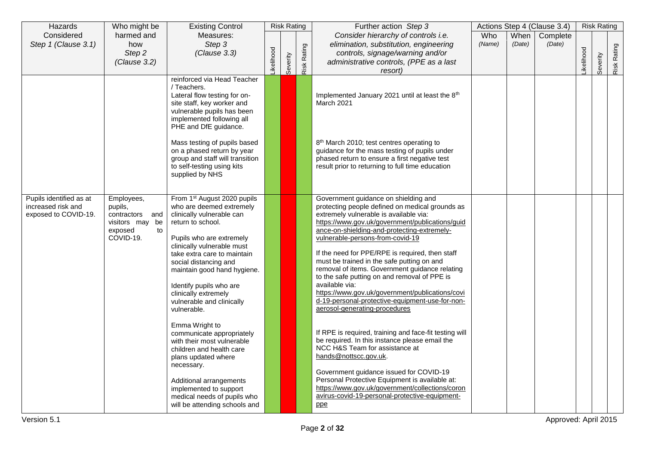| Hazards                                    | Who might be                                                                | <b>Existing Control</b>                                                                                                                                                                                                                                                                                                                                                                                                                                    |                  | <b>Risk Rating</b> |             | Further action Step 3                                                                                                                                                                                                                                                                                                                                                                                                                                                                                                                                                                                                                                                                                                                                              |               |                | Actions Step 4 (Clause 3.4) |                  | <b>Risk Rating</b> |                    |
|--------------------------------------------|-----------------------------------------------------------------------------|------------------------------------------------------------------------------------------------------------------------------------------------------------------------------------------------------------------------------------------------------------------------------------------------------------------------------------------------------------------------------------------------------------------------------------------------------------|------------------|--------------------|-------------|--------------------------------------------------------------------------------------------------------------------------------------------------------------------------------------------------------------------------------------------------------------------------------------------------------------------------------------------------------------------------------------------------------------------------------------------------------------------------------------------------------------------------------------------------------------------------------------------------------------------------------------------------------------------------------------------------------------------------------------------------------------------|---------------|----------------|-----------------------------|------------------|--------------------|--------------------|
| Considered<br>Step 1 (Clause 3.1)          | harmed and<br>how<br>Step 2<br>(Clause 3.2)                                 | Measures:<br>Step 3<br>(Clause 3.3)                                                                                                                                                                                                                                                                                                                                                                                                                        | <b>ikelihood</b> | Severity           | Risk Rating | Consider hierarchy of controls i.e.<br>elimination, substitution, engineering<br>controls, signage/warning and/or<br>administrative controls, (PPE as a last<br>resort)                                                                                                                                                                                                                                                                                                                                                                                                                                                                                                                                                                                            | Who<br>(Name) | When<br>(Date) | Complete<br>(Date)          | <b>ikelihood</b> | Severity           | <b>Risk Rating</b> |
|                                            |                                                                             | reinforced via Head Teacher<br>/ Teachers.<br>Lateral flow testing for on-<br>site staff, key worker and<br>vulnerable pupils has been<br>implemented following all<br>PHE and DfE guidance.<br>Mass testing of pupils based<br>on a phased return by year<br>group and staff will transition                                                                                                                                                              |                  |                    |             | Implemented January 2021 until at least the 8th<br>March 2021<br>8 <sup>th</sup> March 2010; test centres operating to<br>guidance for the mass testing of pupils under<br>phased return to ensure a first negative test                                                                                                                                                                                                                                                                                                                                                                                                                                                                                                                                           |               |                |                             |                  |                    |                    |
| Pupils identified as at                    | Employees,                                                                  | to self-testing using kits<br>supplied by NHS<br>From 1st August 2020 pupils                                                                                                                                                                                                                                                                                                                                                                               |                  |                    |             | result prior to returning to full time education<br>Government guidance on shielding and                                                                                                                                                                                                                                                                                                                                                                                                                                                                                                                                                                                                                                                                           |               |                |                             |                  |                    |                    |
| increased risk and<br>exposed to COVID-19. | pupils,<br>contractors and<br>visitors may be<br>exposed<br>to<br>COVID-19. | who are deemed extremely<br>clinically vulnerable can<br>return to school.<br>Pupils who are extremely<br>clinically vulnerable must<br>take extra care to maintain<br>social distancing and<br>maintain good hand hygiene.<br>Identify pupils who are<br>clinically extremely<br>vulnerable and clinically<br>vulnerable.<br>Emma Wright to<br>communicate appropriately<br>with their most vulnerable<br>children and health care<br>plans updated where |                  |                    |             | protecting people defined on medical grounds as<br>extremely vulnerable is available via:<br>https://www.gov.uk/government/publications/guid<br>ance-on-shielding-and-protecting-extremely-<br>vulnerable-persons-from-covid-19<br>If the need for PPE/RPE is required, then staff<br>must be trained in the safe putting on and<br>removal of items. Government guidance relating<br>to the safe putting on and removal of PPE is<br>available via:<br>https://www.gov.uk/government/publications/covi<br>d-19-personal-protective-equipment-use-for-non-<br>aerosol-generating-procedures<br>If RPE is required, training and face-fit testing will<br>be required. In this instance please email the<br>NCC H&S Team for assistance at<br>hands@nottscc.gov.uk. |               |                |                             |                  |                    |                    |
|                                            |                                                                             | necessary.<br>Additional arrangements<br>implemented to support<br>medical needs of pupils who<br>will be attending schools and                                                                                                                                                                                                                                                                                                                            |                  |                    |             | Government guidance issued for COVID-19<br>Personal Protective Equipment is available at:<br>https://www.gov.uk/government/collections/coron<br>avirus-covid-19-personal-protective-equipment-<br>ppe                                                                                                                                                                                                                                                                                                                                                                                                                                                                                                                                                              |               |                |                             |                  |                    |                    |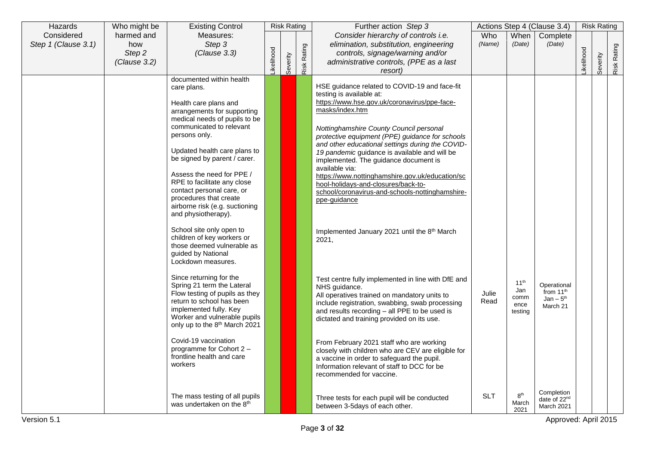| Hazards                           | Who might be                                | <b>Existing Control</b>                                                                                                                                                                                                                                                                                                                                                                                                                                                                                                                                                                                                                                                                                                                         |           | <b>Risk Rating</b> |             | Further action Step 3                                                                                                                                                                                                                                                                                                                                                                                                                                                                                                                                                                                                                                                                                                                                                                                                                                         |               |                                                    | Actions Step 4 (Clause 3.4)                           |           | <b>Risk Rating</b> |             |
|-----------------------------------|---------------------------------------------|-------------------------------------------------------------------------------------------------------------------------------------------------------------------------------------------------------------------------------------------------------------------------------------------------------------------------------------------------------------------------------------------------------------------------------------------------------------------------------------------------------------------------------------------------------------------------------------------------------------------------------------------------------------------------------------------------------------------------------------------------|-----------|--------------------|-------------|---------------------------------------------------------------------------------------------------------------------------------------------------------------------------------------------------------------------------------------------------------------------------------------------------------------------------------------------------------------------------------------------------------------------------------------------------------------------------------------------------------------------------------------------------------------------------------------------------------------------------------------------------------------------------------------------------------------------------------------------------------------------------------------------------------------------------------------------------------------|---------------|----------------------------------------------------|-------------------------------------------------------|-----------|--------------------|-------------|
| Considered<br>Step 1 (Clause 3.1) | harmed and<br>how<br>Step 2<br>(Clause 3.2) | Measures:<br>Step 3<br>(Clause 3.3)                                                                                                                                                                                                                                                                                                                                                                                                                                                                                                                                                                                                                                                                                                             | ikelihood | Severity           | Risk Rating | Consider hierarchy of controls i.e.<br>elimination, substitution, engineering<br>controls, signage/warning and/or<br>administrative controls, (PPE as a last<br>resort)                                                                                                                                                                                                                                                                                                                                                                                                                                                                                                                                                                                                                                                                                       | Who<br>(Name) | When<br>(Date)                                     | Complete<br>(Date)                                    | ikelihood | Severity           | Risk Rating |
|                                   |                                             | documented within health<br>care plans.<br>Health care plans and<br>arrangements for supporting<br>medical needs of pupils to be<br>communicated to relevant<br>persons only.<br>Updated health care plans to<br>be signed by parent / carer.<br>Assess the need for PPE /<br>RPE to facilitate any close<br>contact personal care, or<br>procedures that create<br>airborne risk (e.g. suctioning<br>and physiotherapy).<br>School site only open to<br>children of key workers or<br>those deemed vulnerable as<br>guided by National<br>Lockdown measures.<br>Since returning for the<br>Spring 21 term the Lateral<br>Flow testing of pupils as they<br>return to school has been<br>implemented fully. Key<br>Worker and vulnerable pupils |           |                    |             | HSE guidance related to COVID-19 and face-fit<br>testing is available at:<br>https://www.hse.gov.uk/coronavirus/ppe-face-<br>masks/index.htm<br>Nottinghamshire County Council personal<br>protective equipment (PPE) guidance for schools<br>and other educational settings during the COVID-<br>19 pandemic guidance is available and will be<br>implemented. The guidance document is<br>available via:<br>https://www.nottinghamshire.gov.uk/education/sc<br>hool-holidays-and-closures/back-to-<br>school/coronavirus-and-schools-nottinghamshire-<br>ppe-guidance<br>Implemented January 2021 until the 8th March<br>2021,<br>Test centre fully implemented in line with DfE and<br>NHS guidance.<br>All operatives trained on mandatory units to<br>include registration, swabbing, swab processing<br>and results recording $-$ all PPE to be used is | Julie<br>Read | 11 <sup>th</sup><br>Jan<br>comm<br>ence<br>testing | Operational<br>from $11th$<br>$Jan - 5th$<br>March 21 |           |                    |             |
|                                   |                                             | only up to the 8 <sup>th</sup> March 2021<br>Covid-19 vaccination<br>programme for Cohort 2 -<br>frontline health and care<br>workers<br>The mass testing of all pupils<br>was undertaken on the 8 <sup>th</sup>                                                                                                                                                                                                                                                                                                                                                                                                                                                                                                                                |           |                    |             | dictated and training provided on its use.<br>From February 2021 staff who are working<br>closely with children who are CEV are eligible for<br>a vaccine in order to safeguard the pupil.<br>Information relevant of staff to DCC for be<br>recommended for vaccine.<br>Three tests for each pupil will be conducted<br>between 3-5days of each other.                                                                                                                                                                                                                                                                                                                                                                                                                                                                                                       | <b>SLT</b>    | 8 <sup>th</sup><br>March<br>2021                   | Completion<br>date of 22 <sup>nd</sup><br>March 2021  |           |                    |             |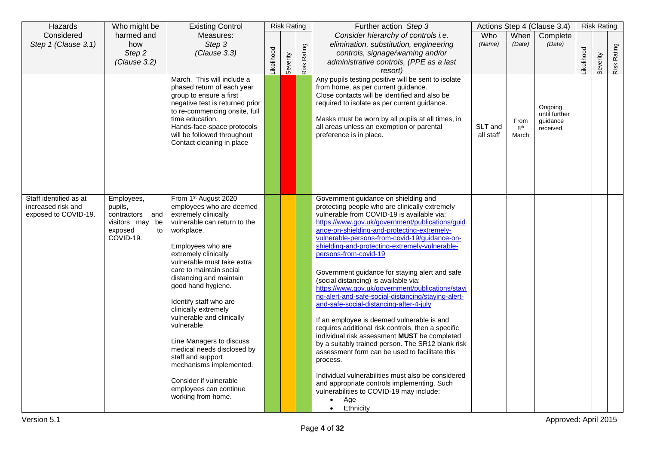| Considered<br>Step 1 (Clause 3.1)                                                   | harmed and                                                                                   | Measures:                                                                                                                                                                                                                                                                                                                                                                                                                                                                                                                                                                   |           |          |                    |                                                                                                                                                                                                                                                                                                                                                                                                                                                                                                                                                                                                                                                                                                                                                                                                                                                                                                                                                                                                                                                                                          | Actions Step 4 (Clause 3.4) |          | <b>Risk Rating</b> |
|-------------------------------------------------------------------------------------|----------------------------------------------------------------------------------------------|-----------------------------------------------------------------------------------------------------------------------------------------------------------------------------------------------------------------------------------------------------------------------------------------------------------------------------------------------------------------------------------------------------------------------------------------------------------------------------------------------------------------------------------------------------------------------------|-----------|----------|--------------------|------------------------------------------------------------------------------------------------------------------------------------------------------------------------------------------------------------------------------------------------------------------------------------------------------------------------------------------------------------------------------------------------------------------------------------------------------------------------------------------------------------------------------------------------------------------------------------------------------------------------------------------------------------------------------------------------------------------------------------------------------------------------------------------------------------------------------------------------------------------------------------------------------------------------------------------------------------------------------------------------------------------------------------------------------------------------------------------|-----------------------------|----------|--------------------|
|                                                                                     | how<br>Step 2<br>(Clause 3.2)                                                                | Step 3<br>(Clause 3.3)                                                                                                                                                                                                                                                                                                                                                                                                                                                                                                                                                      | ikelihood | Severity | <b>Risk Rating</b> | Consider hierarchy of controls i.e.<br>When<br>Who<br>Complete<br>elimination, substitution, engineering<br>(Date)<br>(Name)<br>(Date)<br>controls, signage/warning and/or<br>administrative controls, (PPE as a last<br>resort)                                                                                                                                                                                                                                                                                                                                                                                                                                                                                                                                                                                                                                                                                                                                                                                                                                                         | ikelihood                   | Severity | Risk Rating        |
|                                                                                     |                                                                                              | March. This will include a<br>phased return of each year<br>group to ensure a first<br>negative test is returned prior<br>to re-commencing onsite, full<br>time education.<br>Hands-face-space protocols<br>will be followed throughout<br>Contact cleaning in place                                                                                                                                                                                                                                                                                                        |           |          |                    | Any pupils testing positive will be sent to isolate<br>from home, as per current guidance.<br>Close contacts will be identified and also be<br>required to isolate as per current guidance.<br>Ongoing<br>until further<br>Masks must be worn by all pupils at all times, in<br>guidance<br>From<br>SLT and<br>all areas unless an exemption or parental<br>8 <sup>th</sup><br>received.<br>preference is in place.<br>all staff<br>March                                                                                                                                                                                                                                                                                                                                                                                                                                                                                                                                                                                                                                                |                             |          |                    |
| Staff identified as at<br>increased risk and<br>exposed to COVID-19.<br>Version 5.1 | Employees,<br>pupils,<br>contractors<br>and<br>visitors may be<br>exposed<br>to<br>COVID-19. | From 1 <sup>st</sup> August 2020<br>employees who are deemed<br>extremely clinically<br>vulnerable can return to the<br>workplace.<br>Employees who are<br>extremely clinically<br>vulnerable must take extra<br>care to maintain social<br>distancing and maintain<br>good hand hygiene.<br>Identify staff who are<br>clinically extremely<br>vulnerable and clinically<br>vulnerable.<br>Line Managers to discuss<br>medical needs disclosed by<br>staff and support<br>mechanisms implemented.<br>Consider if vulnerable<br>employees can continue<br>working from home. |           |          |                    | Government guidance on shielding and<br>protecting people who are clinically extremely<br>vulnerable from COVID-19 is available via:<br>https://www.gov.uk/government/publications/guid<br>ance-on-shielding-and-protecting-extremely-<br>vulnerable-persons-from-covid-19/guidance-on-<br>shielding-and-protecting-extremely-vulnerable-<br>persons-from-covid-19<br>Government guidance for staying alert and safe<br>(social distancing) is available via:<br>https://www.gov.uk/government/publications/stayi<br>ng-alert-and-safe-social-distancing/staying-alert-<br>and-safe-social-distancing-after-4-july<br>If an employee is deemed vulnerable is and<br>requires additional risk controls, then a specific<br>individual risk assessment MUST be completed<br>by a suitably trained person. The SR12 blank risk<br>assessment form can be used to facilitate this<br>process.<br>Individual vulnerabilities must also be considered<br>and appropriate controls implementing. Such<br>vulnerabilities to COVID-19 may include:<br>Age<br>$\bullet$<br>Ethnicity<br>$\bullet$ | Approved: April 2015        |          |                    |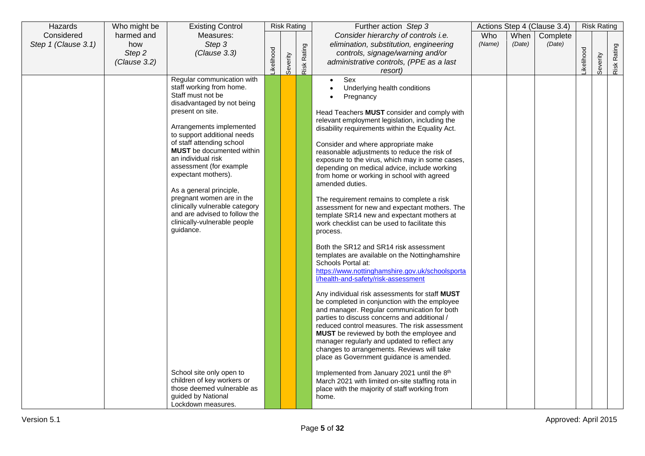| Hazards             | Who might be | <b>Existing Control</b>                                  |           | <b>Risk Rating</b> |             | Further action Step 3                                                                           |        |        | Actions Step 4 (Clause 3.4) |                  | <b>Risk Rating</b> |             |
|---------------------|--------------|----------------------------------------------------------|-----------|--------------------|-------------|-------------------------------------------------------------------------------------------------|--------|--------|-----------------------------|------------------|--------------------|-------------|
| Considered          | harmed and   | Measures:                                                |           |                    |             | Consider hierarchy of controls i.e.                                                             | Who    | When   | Complete                    |                  |                    |             |
| Step 1 (Clause 3.1) | how          | Step 3                                                   |           |                    |             | elimination, substitution, engineering                                                          | (Name) | (Date) | (Date)                      |                  |                    | Risk Rating |
|                     | Step 2       | (Clause 3.3)                                             |           |                    |             | controls, signage/warning and/or                                                                |        |        |                             |                  |                    |             |
|                     | (Clause 3.2) |                                                          | ikelihood | Severity           | Risk Rating | administrative controls, (PPE as a last                                                         |        |        |                             | <b>ikelihood</b> | Severity           |             |
|                     |              |                                                          |           |                    |             | resort)                                                                                         |        |        |                             |                  |                    |             |
|                     |              | Regular communication with<br>staff working from home.   |           |                    |             | Sex<br>$\bullet$                                                                                |        |        |                             |                  |                    |             |
|                     |              | Staff must not be                                        |           |                    |             | Underlying health conditions<br>Pregnancy                                                       |        |        |                             |                  |                    |             |
|                     |              | disadvantaged by not being                               |           |                    |             |                                                                                                 |        |        |                             |                  |                    |             |
|                     |              | present on site.                                         |           |                    |             | Head Teachers MUST consider and comply with                                                     |        |        |                             |                  |                    |             |
|                     |              |                                                          |           |                    |             | relevant employment legislation, including the                                                  |        |        |                             |                  |                    |             |
|                     |              | Arrangements implemented                                 |           |                    |             | disability requirements within the Equality Act.                                                |        |        |                             |                  |                    |             |
|                     |              | to support additional needs<br>of staff attending school |           |                    |             |                                                                                                 |        |        |                             |                  |                    |             |
|                     |              | <b>MUST</b> be documented within                         |           |                    |             | Consider and where appropriate make<br>reasonable adjustments to reduce the risk of             |        |        |                             |                  |                    |             |
|                     |              | an individual risk                                       |           |                    |             | exposure to the virus, which may in some cases,                                                 |        |        |                             |                  |                    |             |
|                     |              | assessment (for example                                  |           |                    |             | depending on medical advice, include working                                                    |        |        |                             |                  |                    |             |
|                     |              | expectant mothers).                                      |           |                    |             | from home or working in school with agreed                                                      |        |        |                             |                  |                    |             |
|                     |              |                                                          |           |                    |             | amended duties.                                                                                 |        |        |                             |                  |                    |             |
|                     |              | As a general principle,<br>pregnant women are in the     |           |                    |             |                                                                                                 |        |        |                             |                  |                    |             |
|                     |              | clinically vulnerable category                           |           |                    |             | The requirement remains to complete a risk<br>assessment for new and expectant mothers. The     |        |        |                             |                  |                    |             |
|                     |              | and are advised to follow the                            |           |                    |             | template SR14 new and expectant mothers at                                                      |        |        |                             |                  |                    |             |
|                     |              | clinically-vulnerable people                             |           |                    |             | work checklist can be used to facilitate this                                                   |        |        |                             |                  |                    |             |
|                     |              | guidance.                                                |           |                    |             | process.                                                                                        |        |        |                             |                  |                    |             |
|                     |              |                                                          |           |                    |             |                                                                                                 |        |        |                             |                  |                    |             |
|                     |              |                                                          |           |                    |             | Both the SR12 and SR14 risk assessment<br>templates are available on the Nottinghamshire        |        |        |                             |                  |                    |             |
|                     |              |                                                          |           |                    |             | Schools Portal at:                                                                              |        |        |                             |                  |                    |             |
|                     |              |                                                          |           |                    |             | https://www.nottinghamshire.gov.uk/schoolsporta                                                 |        |        |                             |                  |                    |             |
|                     |              |                                                          |           |                    |             | l/health-and-safety/risk-assessment                                                             |        |        |                             |                  |                    |             |
|                     |              |                                                          |           |                    |             |                                                                                                 |        |        |                             |                  |                    |             |
|                     |              |                                                          |           |                    |             | Any individual risk assessments for staff MUST<br>be completed in conjunction with the employee |        |        |                             |                  |                    |             |
|                     |              |                                                          |           |                    |             | and manager. Regular communication for both                                                     |        |        |                             |                  |                    |             |
|                     |              |                                                          |           |                    |             | parties to discuss concerns and additional /                                                    |        |        |                             |                  |                    |             |
|                     |              |                                                          |           |                    |             | reduced control measures. The risk assessment                                                   |        |        |                             |                  |                    |             |
|                     |              |                                                          |           |                    |             | <b>MUST</b> be reviewed by both the employee and                                                |        |        |                             |                  |                    |             |
|                     |              |                                                          |           |                    |             | manager regularly and updated to reflect any                                                    |        |        |                             |                  |                    |             |
|                     |              |                                                          |           |                    |             | changes to arrangements. Reviews will take<br>place as Government guidance is amended.          |        |        |                             |                  |                    |             |
|                     |              |                                                          |           |                    |             |                                                                                                 |        |        |                             |                  |                    |             |
|                     |              | School site only open to                                 |           |                    |             | Implemented from January 2021 until the 8th                                                     |        |        |                             |                  |                    |             |
|                     |              | children of key workers or                               |           |                    |             | March 2021 with limited on-site staffing rota in                                                |        |        |                             |                  |                    |             |
|                     |              | those deemed vulnerable as                               |           |                    |             | place with the majority of staff working from                                                   |        |        |                             |                  |                    |             |
|                     |              | guided by National<br>Lockdown measures.                 |           |                    |             | home.                                                                                           |        |        |                             |                  |                    |             |
|                     |              |                                                          |           |                    |             |                                                                                                 |        |        |                             |                  |                    |             |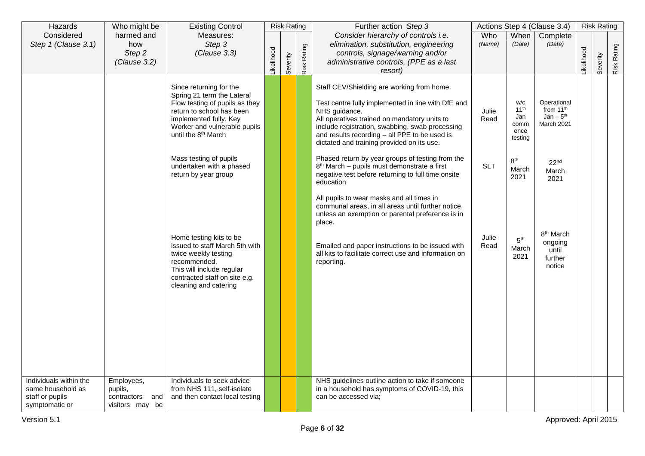| Hazards                                                                          | Who might be                                                | <b>Existing Control</b>                                                                                                                                                                                                                                                                         |            | <b>Risk Rating</b> |             | Further action Step 3                                                                                                                                                                                                                                                                                                                                                                                                                                                                                                                                                                                                                                        |                             |                                                                                               | Actions Step 4 (Clause 3.4)                                                                  |           | <b>Risk Rating</b> |             |
|----------------------------------------------------------------------------------|-------------------------------------------------------------|-------------------------------------------------------------------------------------------------------------------------------------------------------------------------------------------------------------------------------------------------------------------------------------------------|------------|--------------------|-------------|--------------------------------------------------------------------------------------------------------------------------------------------------------------------------------------------------------------------------------------------------------------------------------------------------------------------------------------------------------------------------------------------------------------------------------------------------------------------------------------------------------------------------------------------------------------------------------------------------------------------------------------------------------------|-----------------------------|-----------------------------------------------------------------------------------------------|----------------------------------------------------------------------------------------------|-----------|--------------------|-------------|
| Considered<br>Step 1 (Clause 3.1)                                                | harmed and<br>how<br>Step 2<br>(Clause 3.2)                 | Measures:<br>Step 3<br>(Clause 3.3)                                                                                                                                                                                                                                                             | Likelihood | Severity           | Risk Rating | Consider hierarchy of controls i.e.<br>elimination, substitution, engineering<br>controls, signage/warning and/or<br>administrative controls, (PPE as a last<br>resort)                                                                                                                                                                                                                                                                                                                                                                                                                                                                                      | Who<br>(Name)               | When<br>(Date)                                                                                | Complete<br>(Date)                                                                           | ikelihood | Severity           | Risk Rating |
|                                                                                  |                                                             | Since returning for the<br>Spring 21 term the Lateral<br>Flow testing of pupils as they<br>return to school has been<br>implemented fully. Key<br>Worker and vulnerable pupils<br>until the 8 <sup>th</sup> March<br>Mass testing of pupils<br>undertaken with a phased<br>return by year group |            |                    |             | Staff CEV/Shielding are working from home.<br>Test centre fully implemented in line with DfE and<br>NHS guidance.<br>All operatives trained on mandatory units to<br>include registration, swabbing, swab processing<br>and results recording - all PPE to be used is<br>dictated and training provided on its use.<br>Phased return by year groups of testing from the<br>8 <sup>th</sup> March - pupils must demonstrate a first<br>negative test before returning to full time onsite<br>education<br>All pupils to wear masks and all times in<br>communal areas, in all areas until further notice,<br>unless an exemption or parental preference is in | Julie<br>Read<br><b>SLT</b> | w/c<br>11 <sup>th</sup><br>Jan<br>comm<br>ence<br>testing<br>8 <sup>th</sup><br>March<br>2021 | Operational<br>from $11th$<br>$Jan - 5th$<br>March 2021<br>22 <sub>nd</sub><br>March<br>2021 |           |                    |             |
|                                                                                  |                                                             | Home testing kits to be<br>issued to staff March 5th with<br>twice weekly testing<br>recommended.<br>This will include regular<br>contracted staff on site e.g.<br>cleaning and catering                                                                                                        |            |                    |             | place.<br>Emailed and paper instructions to be issued with<br>all kits to facilitate correct use and information on<br>reporting.                                                                                                                                                                                                                                                                                                                                                                                                                                                                                                                            | Julie<br>Read               | 5 <sup>th</sup><br>March<br>2021                                                              | 8 <sup>th</sup> March<br>ongoing<br>until<br>further<br>notice                               |           |                    |             |
| Individuals within the<br>same household as<br>staff or pupils<br>symptomatic or | Employees,<br>pupils,<br>contractors and<br>visitors may be | Individuals to seek advice<br>from NHS 111, self-isolate<br>and then contact local testing                                                                                                                                                                                                      |            |                    |             | NHS guidelines outline action to take if someone<br>in a household has symptoms of COVID-19, this<br>can be accessed via;                                                                                                                                                                                                                                                                                                                                                                                                                                                                                                                                    |                             |                                                                                               |                                                                                              |           |                    |             |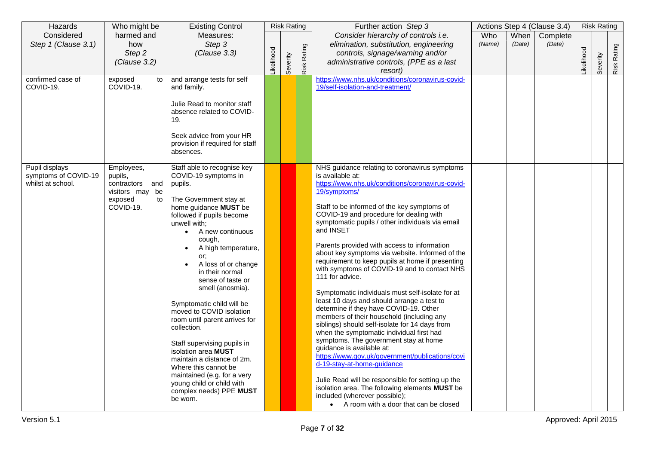| Hazards                                                     | Who might be                             | <b>Existing Control</b>                                                                                                                     |            | <b>Risk Rating</b> |             | Further action Step 3                                                                                                 |               |                | Actions Step 4 (Clause 3.4) |           | <b>Risk Rating</b> |             |
|-------------------------------------------------------------|------------------------------------------|---------------------------------------------------------------------------------------------------------------------------------------------|------------|--------------------|-------------|-----------------------------------------------------------------------------------------------------------------------|---------------|----------------|-----------------------------|-----------|--------------------|-------------|
| Considered<br>Step 1 (Clause 3.1)                           | harmed and<br>how                        | Measures:<br>Step 3                                                                                                                         |            |                    |             | Consider hierarchy of controls i.e.<br>elimination, substitution, engineering                                         | Who<br>(Name) | When<br>(Date) | Complete<br>(Date)          |           |                    |             |
|                                                             | Step <sub>2</sub>                        | (Clause 3.3)                                                                                                                                |            |                    | Risk Rating | controls, signage/warning and/or                                                                                      |               |                |                             |           |                    | Risk Rating |
|                                                             | (Clause 3.2)                             |                                                                                                                                             | Likelihood | Severity           |             | administrative controls, (PPE as a last                                                                               |               |                |                             | ikelihood | Severity           |             |
|                                                             |                                          |                                                                                                                                             |            |                    |             | resort)                                                                                                               |               |                |                             |           |                    |             |
| confirmed case of<br>COVID-19.                              | exposed<br>to<br>COVID-19.               | and arrange tests for self<br>and family.                                                                                                   |            |                    |             | https://www.nhs.uk/conditions/coronavirus-covid-<br>19/self-isolation-and-treatment/                                  |               |                |                             |           |                    |             |
|                                                             |                                          | Julie Read to monitor staff<br>absence related to COVID-<br>19.<br>Seek advice from your HR<br>provision if required for staff<br>absences. |            |                    |             |                                                                                                                       |               |                |                             |           |                    |             |
| Pupil displays<br>symptoms of COVID-19<br>whilst at school. | Employees,<br>pupils,<br>contractors and | Staff able to recognise key<br>COVID-19 symptoms in<br>pupils.                                                                              |            |                    |             | NHS guidance relating to coronavirus symptoms<br>is available at:<br>https://www.nhs.uk/conditions/coronavirus-covid- |               |                |                             |           |                    |             |
|                                                             | visitors may be                          |                                                                                                                                             |            |                    |             | 19/symptoms/                                                                                                          |               |                |                             |           |                    |             |
|                                                             | exposed<br>to<br>COVID-19.               | The Government stay at<br>home guidance MUST be                                                                                             |            |                    |             | Staff to be informed of the key symptoms of                                                                           |               |                |                             |           |                    |             |
|                                                             |                                          | followed if pupils become                                                                                                                   |            |                    |             | COVID-19 and procedure for dealing with<br>symptomatic pupils / other individuals via email                           |               |                |                             |           |                    |             |
|                                                             |                                          | unwell with;<br>A new continuous<br>$\bullet$                                                                                               |            |                    |             | and INSET                                                                                                             |               |                |                             |           |                    |             |
|                                                             |                                          | cough,<br>A high temperature,                                                                                                               |            |                    |             | Parents provided with access to information                                                                           |               |                |                             |           |                    |             |
|                                                             |                                          | or:                                                                                                                                         |            |                    |             | about key symptoms via website. Informed of the                                                                       |               |                |                             |           |                    |             |
|                                                             |                                          | A loss of or change<br>in their normal                                                                                                      |            |                    |             | requirement to keep pupils at home if presenting<br>with symptoms of COVID-19 and to contact NHS                      |               |                |                             |           |                    |             |
|                                                             |                                          | sense of taste or                                                                                                                           |            |                    |             | 111 for advice.                                                                                                       |               |                |                             |           |                    |             |
|                                                             |                                          | smell (anosmia).                                                                                                                            |            |                    |             | Symptomatic individuals must self-isolate for at                                                                      |               |                |                             |           |                    |             |
|                                                             |                                          | Symptomatic child will be                                                                                                                   |            |                    |             | least 10 days and should arrange a test to<br>determine if they have COVID-19. Other                                  |               |                |                             |           |                    |             |
|                                                             |                                          | moved to COVID isolation<br>room until parent arrives for                                                                                   |            |                    |             | members of their household (including any                                                                             |               |                |                             |           |                    |             |
|                                                             |                                          | collection.                                                                                                                                 |            |                    |             | siblings) should self-isolate for 14 days from<br>when the symptomatic individual first had                           |               |                |                             |           |                    |             |
|                                                             |                                          | Staff supervising pupils in                                                                                                                 |            |                    |             | symptoms. The government stay at home                                                                                 |               |                |                             |           |                    |             |
|                                                             |                                          | isolation area MUST                                                                                                                         |            |                    |             | guidance is available at:                                                                                             |               |                |                             |           |                    |             |
|                                                             |                                          | maintain a distance of 2m.                                                                                                                  |            |                    |             | https://www.gov.uk/government/publications/covi<br>d-19-stay-at-home-guidance                                         |               |                |                             |           |                    |             |
|                                                             |                                          | Where this cannot be<br>maintained (e.g. for a very                                                                                         |            |                    |             |                                                                                                                       |               |                |                             |           |                    |             |
|                                                             |                                          | young child or child with                                                                                                                   |            |                    |             | Julie Read will be responsible for setting up the<br>isolation area. The following elements MUST be                   |               |                |                             |           |                    |             |
|                                                             |                                          | complex needs) PPE MUST<br>be worn.                                                                                                         |            |                    |             | included (wherever possible);                                                                                         |               |                |                             |           |                    |             |
|                                                             |                                          |                                                                                                                                             |            |                    |             | • A room with a door that can be closed                                                                               |               |                |                             |           |                    |             |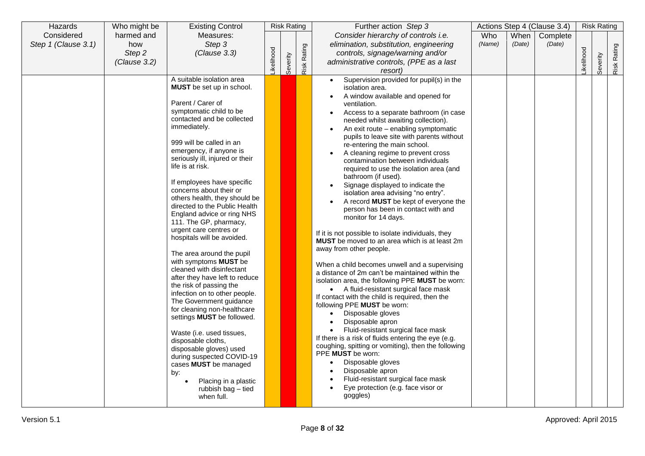| Hazards             | Who might be | <b>Existing Control</b>                          |                  | <b>Risk Rating</b> |             | Further action Step 3                                                                            |        |        | Actions Step 4 (Clause 3.4) |                  | <b>Risk Rating</b> |             |
|---------------------|--------------|--------------------------------------------------|------------------|--------------------|-------------|--------------------------------------------------------------------------------------------------|--------|--------|-----------------------------|------------------|--------------------|-------------|
| Considered          | harmed and   | Measures:                                        |                  |                    |             | Consider hierarchy of controls i.e.                                                              | Who    | When   | Complete                    |                  |                    |             |
| Step 1 (Clause 3.1) | how          | Step 3                                           |                  |                    |             | elimination, substitution, engineering                                                           | (Name) | (Date) | (Date)                      |                  |                    |             |
|                     | Step 2       | (Clause 3.3)                                     |                  |                    |             | controls, signage/warning and/or                                                                 |        |        |                             |                  |                    |             |
|                     | (Clause 3.2) |                                                  | <b>ikelihood</b> |                    | Risk Rating | administrative controls, (PPE as a last                                                          |        |        |                             | <b>ikelihood</b> |                    | Risk Rating |
|                     |              |                                                  |                  | Severity           |             | resort)                                                                                          |        |        |                             |                  | Severity           |             |
|                     |              | A suitable isolation area                        |                  |                    |             | Supervision provided for pupil(s) in the<br>$\bullet$                                            |        |        |                             |                  |                    |             |
|                     |              | <b>MUST</b> be set up in school.                 |                  |                    |             | isolation area.                                                                                  |        |        |                             |                  |                    |             |
|                     |              |                                                  |                  |                    |             | A window available and opened for                                                                |        |        |                             |                  |                    |             |
|                     |              | Parent / Carer of                                |                  |                    |             | ventilation.                                                                                     |        |        |                             |                  |                    |             |
|                     |              | symptomatic child to be                          |                  |                    |             | Access to a separate bathroom (in case                                                           |        |        |                             |                  |                    |             |
|                     |              | contacted and be collected                       |                  |                    |             | needed whilst awaiting collection).                                                              |        |        |                             |                  |                    |             |
|                     |              | immediately.                                     |                  |                    |             | An exit route - enabling symptomatic                                                             |        |        |                             |                  |                    |             |
|                     |              | 999 will be called in an                         |                  |                    |             | pupils to leave site with parents without                                                        |        |        |                             |                  |                    |             |
|                     |              | emergency, if anyone is                          |                  |                    |             | re-entering the main school.                                                                     |        |        |                             |                  |                    |             |
|                     |              | seriously ill, injured or their                  |                  |                    |             | A cleaning regime to prevent cross<br>contamination between individuals                          |        |        |                             |                  |                    |             |
|                     |              | life is at risk.                                 |                  |                    |             | required to use the isolation area (and                                                          |        |        |                             |                  |                    |             |
|                     |              |                                                  |                  |                    |             | bathroom (if used).                                                                              |        |        |                             |                  |                    |             |
|                     |              | If employees have specific                       |                  |                    |             | Signage displayed to indicate the                                                                |        |        |                             |                  |                    |             |
|                     |              | concerns about their or                          |                  |                    |             | isolation area advising "no entry".                                                              |        |        |                             |                  |                    |             |
|                     |              | others health, they should be                    |                  |                    |             | A record <b>MUST</b> be kept of everyone the                                                     |        |        |                             |                  |                    |             |
|                     |              | directed to the Public Health                    |                  |                    |             | person has been in contact with and                                                              |        |        |                             |                  |                    |             |
|                     |              | England advice or ring NHS                       |                  |                    |             | monitor for 14 days.                                                                             |        |        |                             |                  |                    |             |
|                     |              | 111. The GP, pharmacy,<br>urgent care centres or |                  |                    |             |                                                                                                  |        |        |                             |                  |                    |             |
|                     |              | hospitals will be avoided.                       |                  |                    |             | If it is not possible to isolate individuals, they                                               |        |        |                             |                  |                    |             |
|                     |              |                                                  |                  |                    |             | MUST be moved to an area which is at least 2m                                                    |        |        |                             |                  |                    |             |
|                     |              | The area around the pupil                        |                  |                    |             | away from other people.                                                                          |        |        |                             |                  |                    |             |
|                     |              | with symptoms MUST be                            |                  |                    |             |                                                                                                  |        |        |                             |                  |                    |             |
|                     |              | cleaned with disinfectant                        |                  |                    |             | When a child becomes unwell and a supervising<br>a distance of 2m can't be maintained within the |        |        |                             |                  |                    |             |
|                     |              | after they have left to reduce                   |                  |                    |             | isolation area, the following PPE MUST be worn:                                                  |        |        |                             |                  |                    |             |
|                     |              | the risk of passing the                          |                  |                    |             | • A fluid-resistant surgical face mask                                                           |        |        |                             |                  |                    |             |
|                     |              | infection on to other people.                    |                  |                    |             | If contact with the child is required, then the                                                  |        |        |                             |                  |                    |             |
|                     |              | The Government guidance                          |                  |                    |             | following PPE MUST be worn:                                                                      |        |        |                             |                  |                    |             |
|                     |              | for cleaning non-healthcare                      |                  |                    |             | Disposable gloves<br>$\bullet$                                                                   |        |        |                             |                  |                    |             |
|                     |              | settings MUST be followed.                       |                  |                    |             | Disposable apron<br>$\bullet$                                                                    |        |        |                             |                  |                    |             |
|                     |              | Waste (i.e. used tissues,                        |                  |                    |             | Fluid-resistant surgical face mask<br>$\bullet$                                                  |        |        |                             |                  |                    |             |
|                     |              | disposable cloths,                               |                  |                    |             | If there is a risk of fluids entering the eye (e.g.                                              |        |        |                             |                  |                    |             |
|                     |              | disposable gloves) used                          |                  |                    |             | coughing, spitting or vomiting), then the following                                              |        |        |                             |                  |                    |             |
|                     |              | during suspected COVID-19                        |                  |                    |             | PPE MUST be worn:                                                                                |        |        |                             |                  |                    |             |
|                     |              | cases MUST be managed                            |                  |                    |             | Disposable gloves<br>$\bullet$                                                                   |        |        |                             |                  |                    |             |
|                     |              | by:                                              |                  |                    |             | Disposable apron                                                                                 |        |        |                             |                  |                    |             |
|                     |              | Placing in a plastic                             |                  |                    |             | Fluid-resistant surgical face mask                                                               |        |        |                             |                  |                    |             |
|                     |              | rubbish bag - tied                               |                  |                    |             | Eye protection (e.g. face visor or                                                               |        |        |                             |                  |                    |             |
|                     |              | when full.                                       |                  |                    |             | goggles)                                                                                         |        |        |                             |                  |                    |             |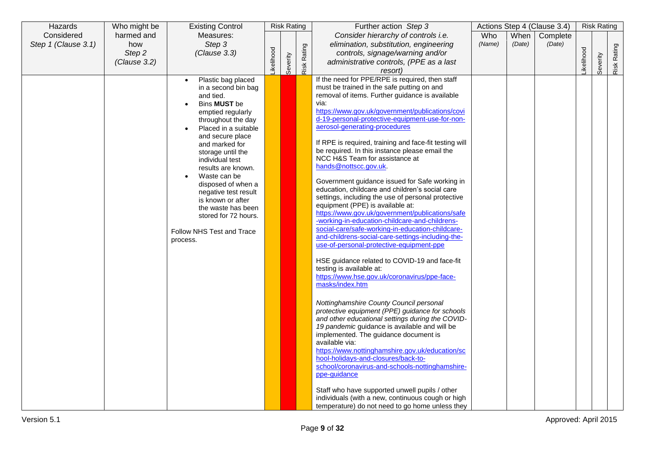| Hazards             | Who might be | <b>Existing Control</b>                   |           | <b>Risk Rating</b> |             | Further action Step 3                                                                              |        |        | Actions Step 4 (Clause 3.4) |                  | <b>Risk Rating</b> |                    |
|---------------------|--------------|-------------------------------------------|-----------|--------------------|-------------|----------------------------------------------------------------------------------------------------|--------|--------|-----------------------------|------------------|--------------------|--------------------|
| Considered          | harmed and   | Measures:                                 |           |                    |             | Consider hierarchy of controls i.e.                                                                | Who    | When   | Complete                    |                  |                    |                    |
| Step 1 (Clause 3.1) | how          | Step 3                                    |           |                    |             | elimination, substitution, engineering                                                             | (Name) | (Date) | (Date)                      |                  |                    |                    |
|                     | Step 2       | (Clause 3.3)                              |           |                    |             | controls, signage/warning and/or                                                                   |        |        |                             |                  |                    |                    |
|                     | (Clause 3.2) |                                           | ikelihood | Severity           | Risk Rating | administrative controls, (PPE as a last                                                            |        |        |                             | <b>ikelihood</b> | Severity           | <b>Risk Rating</b> |
|                     |              |                                           |           |                    |             | resort)                                                                                            |        |        |                             |                  |                    |                    |
|                     |              | Plastic bag placed<br>$\bullet$           |           |                    |             | If the need for PPE/RPE is required, then staff                                                    |        |        |                             |                  |                    |                    |
|                     |              | in a second bin bag<br>and tied.          |           |                    |             | must be trained in the safe putting on and<br>removal of items. Further guidance is available      |        |        |                             |                  |                    |                    |
|                     |              | Bins <b>MUST</b> be                       |           |                    |             | via:                                                                                               |        |        |                             |                  |                    |                    |
|                     |              | emptied regularly                         |           |                    |             | https://www.gov.uk/government/publications/covi                                                    |        |        |                             |                  |                    |                    |
|                     |              | throughout the day                        |           |                    |             | d-19-personal-protective-equipment-use-for-non-                                                    |        |        |                             |                  |                    |                    |
|                     |              | Placed in a suitable                      |           |                    |             | aerosol-generating-procedures                                                                      |        |        |                             |                  |                    |                    |
|                     |              | and secure place                          |           |                    |             | If RPE is required, training and face-fit testing will                                             |        |        |                             |                  |                    |                    |
|                     |              | and marked for<br>storage until the       |           |                    |             | be required. In this instance please email the                                                     |        |        |                             |                  |                    |                    |
|                     |              | individual test                           |           |                    |             | NCC H&S Team for assistance at                                                                     |        |        |                             |                  |                    |                    |
|                     |              | results are known.                        |           |                    |             | hands@nottscc.gov.uk.                                                                              |        |        |                             |                  |                    |                    |
|                     |              | Waste can be<br>$\bullet$                 |           |                    |             | Government guidance issued for Safe working in                                                     |        |        |                             |                  |                    |                    |
|                     |              | disposed of when a                        |           |                    |             | education, childcare and children's social care                                                    |        |        |                             |                  |                    |                    |
|                     |              | negative test result<br>is known or after |           |                    |             | settings, including the use of personal protective                                                 |        |        |                             |                  |                    |                    |
|                     |              | the waste has been                        |           |                    |             | equipment (PPE) is available at:                                                                   |        |        |                             |                  |                    |                    |
|                     |              | stored for 72 hours.                      |           |                    |             | https://www.gov.uk/government/publications/safe                                                    |        |        |                             |                  |                    |                    |
|                     |              |                                           |           |                    |             | -working-in-education-childcare-and-childrens-<br>social-care/safe-working-in-education-childcare- |        |        |                             |                  |                    |                    |
|                     |              | Follow NHS Test and Trace                 |           |                    |             | and-childrens-social-care-settings-including-the-                                                  |        |        |                             |                  |                    |                    |
|                     |              | process.                                  |           |                    |             | use-of-personal-protective-equipment-ppe                                                           |        |        |                             |                  |                    |                    |
|                     |              |                                           |           |                    |             |                                                                                                    |        |        |                             |                  |                    |                    |
|                     |              |                                           |           |                    |             | HSE guidance related to COVID-19 and face-fit                                                      |        |        |                             |                  |                    |                    |
|                     |              |                                           |           |                    |             | testing is available at:<br>https://www.hse.gov.uk/coronavirus/ppe-face-                           |        |        |                             |                  |                    |                    |
|                     |              |                                           |           |                    |             | masks/index.htm                                                                                    |        |        |                             |                  |                    |                    |
|                     |              |                                           |           |                    |             |                                                                                                    |        |        |                             |                  |                    |                    |
|                     |              |                                           |           |                    |             | Nottinghamshire County Council personal                                                            |        |        |                             |                  |                    |                    |
|                     |              |                                           |           |                    |             | protective equipment (PPE) guidance for schools                                                    |        |        |                             |                  |                    |                    |
|                     |              |                                           |           |                    |             | and other educational settings during the COVID-                                                   |        |        |                             |                  |                    |                    |
|                     |              |                                           |           |                    |             | 19 pandemic guidance is available and will be                                                      |        |        |                             |                  |                    |                    |
|                     |              |                                           |           |                    |             | implemented. The guidance document is<br>available via:                                            |        |        |                             |                  |                    |                    |
|                     |              |                                           |           |                    |             | https://www.nottinghamshire.gov.uk/education/sc                                                    |        |        |                             |                  |                    |                    |
|                     |              |                                           |           |                    |             | hool-holidays-and-closures/back-to-                                                                |        |        |                             |                  |                    |                    |
|                     |              |                                           |           |                    |             | school/coronavirus-and-schools-nottinghamshire-                                                    |        |        |                             |                  |                    |                    |
|                     |              |                                           |           |                    |             | ppe-guidance                                                                                       |        |        |                             |                  |                    |                    |
|                     |              |                                           |           |                    |             | Staff who have supported unwell pupils / other                                                     |        |        |                             |                  |                    |                    |
|                     |              |                                           |           |                    |             | individuals (with a new, continuous cough or high                                                  |        |        |                             |                  |                    |                    |
|                     |              |                                           |           |                    |             | temperature) do not need to go home unless they                                                    |        |        |                             |                  |                    |                    |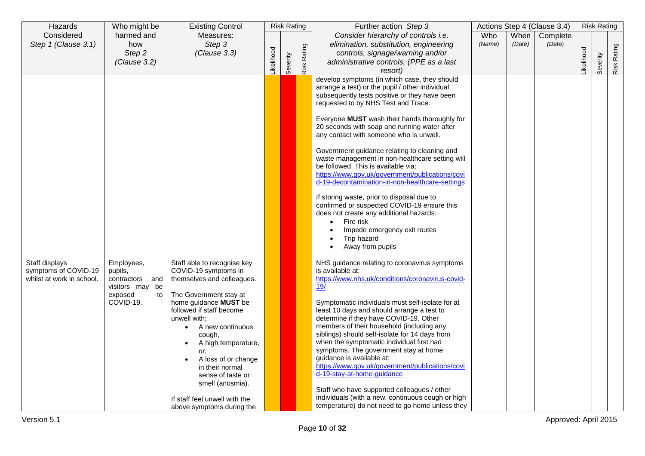| Hazards                                           | Who might be                       | <b>Existing Control</b>                            |                  | <b>Risk Rating</b> |             | Further action Step 3                                                                            |               |                | Actions Step 4 (Clause 3.4) |           | <b>Risk Rating</b> |             |
|---------------------------------------------------|------------------------------------|----------------------------------------------------|------------------|--------------------|-------------|--------------------------------------------------------------------------------------------------|---------------|----------------|-----------------------------|-----------|--------------------|-------------|
| Considered<br>Step 1 (Clause 3.1)                 | harmed and<br>how                  | Measures:<br>Step 3                                |                  |                    |             | Consider hierarchy of controls i.e.<br>elimination, substitution, engineering                    | Who<br>(Name) | When<br>(Date) | Complete<br>(Date)          |           |                    |             |
|                                                   | Step 2                             | (Clause 3.3)                                       |                  |                    |             | controls, signage/warning and/or                                                                 |               |                |                             |           |                    |             |
|                                                   | (Clause 3.2)                       |                                                    | <b>ikelihood</b> |                    | Risk Rating | administrative controls, (PPE as a last                                                          |               |                |                             | ikelihood |                    |             |
|                                                   |                                    |                                                    |                  | Severity           |             | resort)                                                                                          |               |                |                             |           | Severity           | Risk Rating |
|                                                   |                                    |                                                    |                  |                    |             | develop symptoms (in which case, they should                                                     |               |                |                             |           |                    |             |
|                                                   |                                    |                                                    |                  |                    |             | arrange a test) or the pupil / other individual<br>subsequently tests positive or they have been |               |                |                             |           |                    |             |
|                                                   |                                    |                                                    |                  |                    |             | requested to by NHS Test and Trace.                                                              |               |                |                             |           |                    |             |
|                                                   |                                    |                                                    |                  |                    |             | Everyone MUST wash their hands thoroughly for                                                    |               |                |                             |           |                    |             |
|                                                   |                                    |                                                    |                  |                    |             | 20 seconds with soap and running water after<br>any contact with someone who is unwell.          |               |                |                             |           |                    |             |
|                                                   |                                    |                                                    |                  |                    |             | Government guidance relating to cleaning and                                                     |               |                |                             |           |                    |             |
|                                                   |                                    |                                                    |                  |                    |             | waste management in non-healthcare setting will<br>be followed. This is available via:           |               |                |                             |           |                    |             |
|                                                   |                                    |                                                    |                  |                    |             | https://www.gov.uk/government/publications/covi                                                  |               |                |                             |           |                    |             |
|                                                   |                                    |                                                    |                  |                    |             | d-19-decontamination-in-non-healthcare-settings                                                  |               |                |                             |           |                    |             |
|                                                   |                                    |                                                    |                  |                    |             | If storing waste, prior to disposal due to                                                       |               |                |                             |           |                    |             |
|                                                   |                                    |                                                    |                  |                    |             | confirmed or suspected COVID-19 ensure this<br>does not create any additional hazards:           |               |                |                             |           |                    |             |
|                                                   |                                    |                                                    |                  |                    |             | Fire risk<br>$\bullet$                                                                           |               |                |                             |           |                    |             |
|                                                   |                                    |                                                    |                  |                    |             | Impede emergency exit routes                                                                     |               |                |                             |           |                    |             |
|                                                   |                                    |                                                    |                  |                    |             | Trip hazard                                                                                      |               |                |                             |           |                    |             |
|                                                   |                                    |                                                    |                  |                    |             | Away from pupils<br>$\bullet$                                                                    |               |                |                             |           |                    |             |
| Staff displays                                    | Employees,                         | Staff able to recognise key                        |                  |                    |             | NHS guidance relating to coronavirus symptoms                                                    |               |                |                             |           |                    |             |
| symptoms of COVID-19<br>whilst at work in school. | pupils,                            | COVID-19 symptoms in<br>themselves and colleagues. |                  |                    |             | is available at:<br>https://www.nhs.uk/conditions/coronavirus-covid-                             |               |                |                             |           |                    |             |
|                                                   | contractors and<br>visitors may be |                                                    |                  |                    |             | 19/                                                                                              |               |                |                             |           |                    |             |
|                                                   | exposed<br>to                      | The Government stay at                             |                  |                    |             |                                                                                                  |               |                |                             |           |                    |             |
|                                                   | COVID-19.                          | home guidance MUST be                              |                  |                    |             | Symptomatic individuals must self-isolate for at                                                 |               |                |                             |           |                    |             |
|                                                   |                                    | followed if staff become<br>unwell with;           |                  |                    |             | least 10 days and should arrange a test to<br>determine if they have COVID-19. Other             |               |                |                             |           |                    |             |
|                                                   |                                    | A new continuous<br>$\bullet$                      |                  |                    |             | members of their household (including any                                                        |               |                |                             |           |                    |             |
|                                                   |                                    | cough,                                             |                  |                    |             | siblings) should self-isolate for 14 days from                                                   |               |                |                             |           |                    |             |
|                                                   |                                    | A high temperature,<br>٠                           |                  |                    |             | when the symptomatic individual first had                                                        |               |                |                             |           |                    |             |
|                                                   |                                    | or;<br>A loss of or change                         |                  |                    |             | symptoms. The government stay at home<br>guidance is available at:                               |               |                |                             |           |                    |             |
|                                                   |                                    | in their normal                                    |                  |                    |             | https://www.gov.uk/government/publications/covi                                                  |               |                |                             |           |                    |             |
|                                                   |                                    | sense of taste or                                  |                  |                    |             | d-19-stay-at-home-guidance                                                                       |               |                |                             |           |                    |             |
|                                                   |                                    | smell (anosmia).                                   |                  |                    |             | Staff who have supported colleagues / other                                                      |               |                |                             |           |                    |             |
|                                                   |                                    | If staff feel unwell with the                      |                  |                    |             | individuals (with a new, continuous cough or high                                                |               |                |                             |           |                    |             |
|                                                   |                                    | above symptoms during the                          |                  |                    |             | temperature) do not need to go home unless they                                                  |               |                |                             |           |                    |             |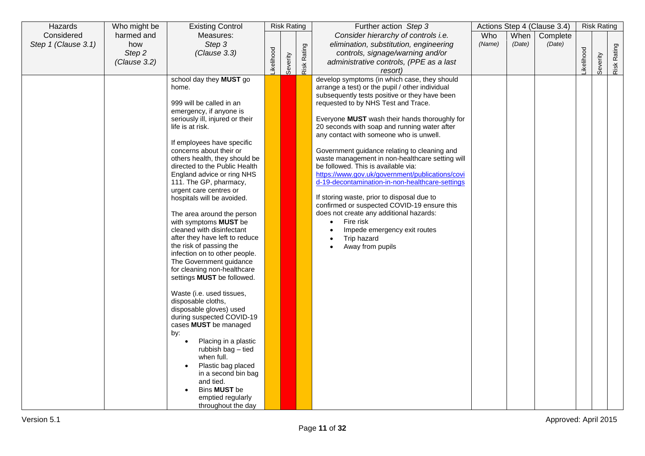| Hazards             | Who might be | <b>Existing Control</b>                                        |           | <b>Risk Rating</b> |             | Further action Step 3                                                                  |        |        | Actions Step 4 (Clause 3.4) |                   | <b>Risk Rating</b> |             |
|---------------------|--------------|----------------------------------------------------------------|-----------|--------------------|-------------|----------------------------------------------------------------------------------------|--------|--------|-----------------------------|-------------------|--------------------|-------------|
| Considered          | harmed and   | Measures:                                                      |           |                    |             | Consider hierarchy of controls i.e.                                                    | Who    | When   | Complete                    |                   |                    |             |
| Step 1 (Clause 3.1) | how          | Step 3                                                         |           |                    |             | elimination, substitution, engineering                                                 | (Name) | (Date) | (Date)                      |                   |                    |             |
|                     | Step 2       | (Clause 3.3)                                                   |           |                    |             | controls, signage/warning and/or                                                       |        |        |                             |                   |                    |             |
|                     | (Clause 3.2) |                                                                | ikelihood | Severity           | Risk Rating | administrative controls, (PPE as a last                                                |        |        |                             | <b>Likelihood</b> | Severity           | Risk Rating |
|                     |              |                                                                |           |                    |             | resort)                                                                                |        |        |                             |                   |                    |             |
|                     |              | school day they MUST go                                        |           |                    |             | develop symptoms (in which case, they should                                           |        |        |                             |                   |                    |             |
|                     |              | home.                                                          |           |                    |             | arrange a test) or the pupil / other individual                                        |        |        |                             |                   |                    |             |
|                     |              | 999 will be called in an                                       |           |                    |             | subsequently tests positive or they have been<br>requested to by NHS Test and Trace.   |        |        |                             |                   |                    |             |
|                     |              | emergency, if anyone is                                        |           |                    |             |                                                                                        |        |        |                             |                   |                    |             |
|                     |              | seriously ill, injured or their                                |           |                    |             | Everyone <b>MUST</b> wash their hands thoroughly for                                   |        |        |                             |                   |                    |             |
|                     |              | life is at risk.                                               |           |                    |             | 20 seconds with soap and running water after                                           |        |        |                             |                   |                    |             |
|                     |              |                                                                |           |                    |             | any contact with someone who is unwell.                                                |        |        |                             |                   |                    |             |
|                     |              | If employees have specific                                     |           |                    |             |                                                                                        |        |        |                             |                   |                    |             |
|                     |              | concerns about their or                                        |           |                    |             | Government guidance relating to cleaning and                                           |        |        |                             |                   |                    |             |
|                     |              | others health, they should be<br>directed to the Public Health |           |                    |             | waste management in non-healthcare setting will<br>be followed. This is available via: |        |        |                             |                   |                    |             |
|                     |              | England advice or ring NHS                                     |           |                    |             | https://www.gov.uk/government/publications/covi                                        |        |        |                             |                   |                    |             |
|                     |              | 111. The GP, pharmacy,                                         |           |                    |             | d-19-decontamination-in-non-healthcare-settings                                        |        |        |                             |                   |                    |             |
|                     |              | urgent care centres or                                         |           |                    |             |                                                                                        |        |        |                             |                   |                    |             |
|                     |              | hospitals will be avoided.                                     |           |                    |             | If storing waste, prior to disposal due to                                             |        |        |                             |                   |                    |             |
|                     |              |                                                                |           |                    |             | confirmed or suspected COVID-19 ensure this                                            |        |        |                             |                   |                    |             |
|                     |              | The area around the person                                     |           |                    |             | does not create any additional hazards:                                                |        |        |                             |                   |                    |             |
|                     |              | with symptoms <b>MUST</b> be                                   |           |                    |             | Fire risk<br>$\bullet$                                                                 |        |        |                             |                   |                    |             |
|                     |              | cleaned with disinfectant<br>after they have left to reduce    |           |                    |             | Impede emergency exit routes<br>Trip hazard                                            |        |        |                             |                   |                    |             |
|                     |              | the risk of passing the                                        |           |                    |             | Away from pupils                                                                       |        |        |                             |                   |                    |             |
|                     |              | infection on to other people.                                  |           |                    |             |                                                                                        |        |        |                             |                   |                    |             |
|                     |              | The Government guidance                                        |           |                    |             |                                                                                        |        |        |                             |                   |                    |             |
|                     |              | for cleaning non-healthcare                                    |           |                    |             |                                                                                        |        |        |                             |                   |                    |             |
|                     |              | settings MUST be followed.                                     |           |                    |             |                                                                                        |        |        |                             |                   |                    |             |
|                     |              |                                                                |           |                    |             |                                                                                        |        |        |                             |                   |                    |             |
|                     |              | Waste (i.e. used tissues,<br>disposable cloths,                |           |                    |             |                                                                                        |        |        |                             |                   |                    |             |
|                     |              | disposable gloves) used                                        |           |                    |             |                                                                                        |        |        |                             |                   |                    |             |
|                     |              | during suspected COVID-19                                      |           |                    |             |                                                                                        |        |        |                             |                   |                    |             |
|                     |              | cases MUST be managed                                          |           |                    |             |                                                                                        |        |        |                             |                   |                    |             |
|                     |              | by:                                                            |           |                    |             |                                                                                        |        |        |                             |                   |                    |             |
|                     |              | Placing in a plastic                                           |           |                    |             |                                                                                        |        |        |                             |                   |                    |             |
|                     |              | rubbish bag - tied                                             |           |                    |             |                                                                                        |        |        |                             |                   |                    |             |
|                     |              | when full.                                                     |           |                    |             |                                                                                        |        |        |                             |                   |                    |             |
|                     |              | Plastic bag placed                                             |           |                    |             |                                                                                        |        |        |                             |                   |                    |             |
|                     |              | in a second bin bag<br>and tied.                               |           |                    |             |                                                                                        |        |        |                             |                   |                    |             |
|                     |              | Bins MUST be                                                   |           |                    |             |                                                                                        |        |        |                             |                   |                    |             |
|                     |              | emptied regularly                                              |           |                    |             |                                                                                        |        |        |                             |                   |                    |             |
|                     |              | throughout the day                                             |           |                    |             |                                                                                        |        |        |                             |                   |                    |             |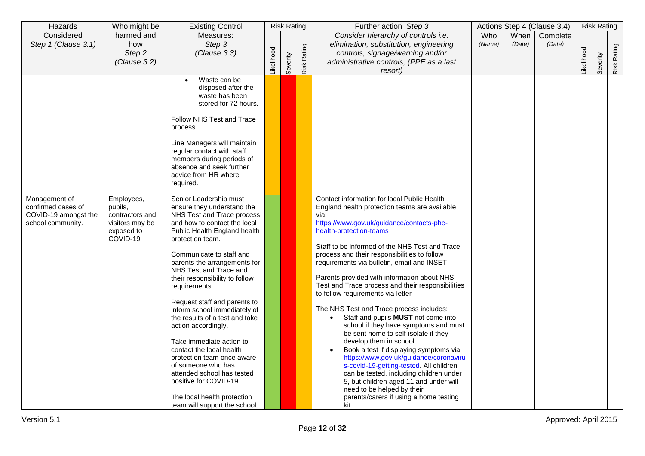| Hazards              | Who might be    | <b>Existing Control</b>                                  |                  | <b>Risk Rating</b> |             | Further action Step 3                             |        |        | Actions Step 4 (Clause 3.4) |                  | <b>Risk Rating</b> |             |
|----------------------|-----------------|----------------------------------------------------------|------------------|--------------------|-------------|---------------------------------------------------|--------|--------|-----------------------------|------------------|--------------------|-------------|
| Considered           | harmed and      | Measures:                                                |                  |                    |             | Consider hierarchy of controls i.e.               | Who    | When   | Complete                    |                  |                    |             |
| Step 1 (Clause 3.1)  | how             | Step 3                                                   |                  |                    |             | elimination, substitution, engineering            | (Name) | (Date) | (Date)                      |                  |                    |             |
|                      | Step 2          | (Clause 3.3)                                             |                  |                    |             | controls, signage/warning and/or                  |        |        |                             |                  |                    |             |
|                      | (Clause 3.2)    |                                                          |                  |                    |             | administrative controls, (PPE as a last           |        |        |                             |                  |                    |             |
|                      |                 |                                                          | <b>ikelihood</b> | Severity           | Risk Rating | resort)                                           |        |        |                             | <b>ikelihood</b> | Severity           | Risk Rating |
|                      |                 | Waste can be<br>$\bullet$                                |                  |                    |             |                                                   |        |        |                             |                  |                    |             |
|                      |                 | disposed after the                                       |                  |                    |             |                                                   |        |        |                             |                  |                    |             |
|                      |                 | waste has been                                           |                  |                    |             |                                                   |        |        |                             |                  |                    |             |
|                      |                 | stored for 72 hours.                                     |                  |                    |             |                                                   |        |        |                             |                  |                    |             |
|                      |                 |                                                          |                  |                    |             |                                                   |        |        |                             |                  |                    |             |
|                      |                 | Follow NHS Test and Trace                                |                  |                    |             |                                                   |        |        |                             |                  |                    |             |
|                      |                 | process.                                                 |                  |                    |             |                                                   |        |        |                             |                  |                    |             |
|                      |                 |                                                          |                  |                    |             |                                                   |        |        |                             |                  |                    |             |
|                      |                 | Line Managers will maintain                              |                  |                    |             |                                                   |        |        |                             |                  |                    |             |
|                      |                 | regular contact with staff                               |                  |                    |             |                                                   |        |        |                             |                  |                    |             |
|                      |                 | members during periods of                                |                  |                    |             |                                                   |        |        |                             |                  |                    |             |
|                      |                 | absence and seek further<br>advice from HR where         |                  |                    |             |                                                   |        |        |                             |                  |                    |             |
|                      |                 | required.                                                |                  |                    |             |                                                   |        |        |                             |                  |                    |             |
|                      |                 |                                                          |                  |                    |             |                                                   |        |        |                             |                  |                    |             |
| Management of        | Employees,      | Senior Leadership must                                   |                  |                    |             | Contact information for local Public Health       |        |        |                             |                  |                    |             |
| confirmed cases of   | pupils,         | ensure they understand the                               |                  |                    |             | England health protection teams are available     |        |        |                             |                  |                    |             |
| COVID-19 amongst the | contractors and | NHS Test and Trace process                               |                  |                    |             | via:                                              |        |        |                             |                  |                    |             |
| school community.    | visitors may be | and how to contact the local                             |                  |                    |             | https://www.gov.uk/guidance/contacts-phe-         |        |        |                             |                  |                    |             |
|                      | exposed to      | Public Health England health                             |                  |                    |             | health-protection-teams                           |        |        |                             |                  |                    |             |
|                      | COVID-19.       | protection team.                                         |                  |                    |             |                                                   |        |        |                             |                  |                    |             |
|                      |                 |                                                          |                  |                    |             | Staff to be informed of the NHS Test and Trace    |        |        |                             |                  |                    |             |
|                      |                 | Communicate to staff and                                 |                  |                    |             | process and their responsibilities to follow      |        |        |                             |                  |                    |             |
|                      |                 | parents the arrangements for                             |                  |                    |             | requirements via bulletin, email and INSET        |        |        |                             |                  |                    |             |
|                      |                 | NHS Test and Trace and<br>their responsibility to follow |                  |                    |             | Parents provided with information about NHS       |        |        |                             |                  |                    |             |
|                      |                 | requirements.                                            |                  |                    |             | Test and Trace process and their responsibilities |        |        |                             |                  |                    |             |
|                      |                 |                                                          |                  |                    |             | to follow requirements via letter                 |        |        |                             |                  |                    |             |
|                      |                 | Request staff and parents to                             |                  |                    |             |                                                   |        |        |                             |                  |                    |             |
|                      |                 | inform school immediately of                             |                  |                    |             | The NHS Test and Trace process includes:          |        |        |                             |                  |                    |             |
|                      |                 | the results of a test and take                           |                  |                    |             | Staff and pupils MUST not come into               |        |        |                             |                  |                    |             |
|                      |                 | action accordingly.                                      |                  |                    |             | school if they have symptoms and must             |        |        |                             |                  |                    |             |
|                      |                 |                                                          |                  |                    |             | be sent home to self-isolate if they              |        |        |                             |                  |                    |             |
|                      |                 | Take immediate action to                                 |                  |                    |             | develop them in school.                           |        |        |                             |                  |                    |             |
|                      |                 | contact the local health                                 |                  |                    |             | Book a test if displaying symptoms via:           |        |        |                             |                  |                    |             |
|                      |                 | protection team once aware                               |                  |                    |             | https://www.gov.uk/guidance/coronaviru            |        |        |                             |                  |                    |             |
|                      |                 | of someone who has                                       |                  |                    |             | s-covid-19-getting-tested. All children           |        |        |                             |                  |                    |             |
|                      |                 | attended school has tested                               |                  |                    |             | can be tested, including children under           |        |        |                             |                  |                    |             |
|                      |                 | positive for COVID-19.                                   |                  |                    |             | 5, but children aged 11 and under will            |        |        |                             |                  |                    |             |
|                      |                 |                                                          |                  |                    |             | need to be helped by their                        |        |        |                             |                  |                    |             |
|                      |                 | The local health protection                              |                  |                    |             | parents/carers if using a home testing<br>kit.    |        |        |                             |                  |                    |             |
|                      |                 | team will support the school                             |                  |                    |             |                                                   |        |        |                             |                  |                    |             |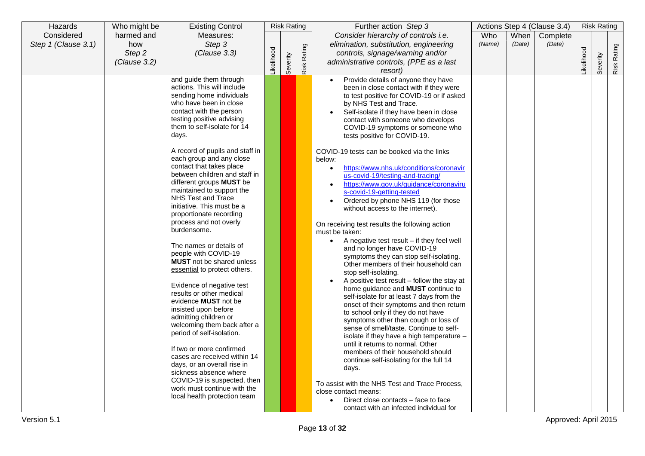| Hazards             | Who might be | <b>Existing Control</b>                                  |           | <b>Risk Rating</b> |             | Further action Step 3                                                      |            |        | Actions Step 4 (Clause 3.4) |                  | <b>Risk Rating</b> |             |
|---------------------|--------------|----------------------------------------------------------|-----------|--------------------|-------------|----------------------------------------------------------------------------|------------|--------|-----------------------------|------------------|--------------------|-------------|
| Considered          | harmed and   | Measures:                                                |           |                    |             | Consider hierarchy of controls i.e.                                        | <b>Who</b> | When   | Complete                    |                  |                    |             |
| Step 1 (Clause 3.1) | how          | Step 3                                                   |           |                    |             | elimination, substitution, engineering                                     | (Name)     | (Date) | (Date)                      |                  |                    |             |
|                     | Step 2       | (Clause 3.3)                                             |           |                    |             | controls, signage/warning and/or                                           |            |        |                             |                  |                    |             |
|                     | (Clause 3.2) |                                                          |           |                    |             | administrative controls, (PPE as a last                                    |            |        |                             |                  |                    |             |
|                     |              |                                                          | ikelihood | Severity           | Risk Rating | resort)                                                                    |            |        |                             | <b>ikelihood</b> | Severity           | Risk Rating |
|                     |              | and guide them through                                   |           |                    |             | Provide details of anyone they have<br>$\bullet$                           |            |        |                             |                  |                    |             |
|                     |              | actions. This will include                               |           |                    |             | been in close contact with if they were                                    |            |        |                             |                  |                    |             |
|                     |              | sending home individuals                                 |           |                    |             | to test positive for COVID-19 or if asked                                  |            |        |                             |                  |                    |             |
|                     |              | who have been in close                                   |           |                    |             | by NHS Test and Trace.                                                     |            |        |                             |                  |                    |             |
|                     |              | contact with the person                                  |           |                    |             | Self-isolate if they have been in close                                    |            |        |                             |                  |                    |             |
|                     |              | testing positive advising                                |           |                    |             | contact with someone who develops                                          |            |        |                             |                  |                    |             |
|                     |              | them to self-isolate for 14                              |           |                    |             | COVID-19 symptoms or someone who                                           |            |        |                             |                  |                    |             |
|                     |              | days.                                                    |           |                    |             | tests positive for COVID-19.                                               |            |        |                             |                  |                    |             |
|                     |              | A record of pupils and staff in                          |           |                    |             | COVID-19 tests can be booked via the links                                 |            |        |                             |                  |                    |             |
|                     |              | each group and any close<br>contact that takes place     |           |                    |             | below:<br>https://www.nhs.uk/conditions/coronavir<br>$\bullet$             |            |        |                             |                  |                    |             |
|                     |              | between children and staff in                            |           |                    |             | us-covid-19/testing-and-tracing/                                           |            |        |                             |                  |                    |             |
|                     |              | different groups <b>MUST</b> be                          |           |                    |             | https://www.gov.uk/guidance/coronaviru<br>$\bullet$                        |            |        |                             |                  |                    |             |
|                     |              | maintained to support the                                |           |                    |             | s-covid-19-getting-tested                                                  |            |        |                             |                  |                    |             |
|                     |              | NHS Test and Trace                                       |           |                    |             | Ordered by phone NHS 119 (for those                                        |            |        |                             |                  |                    |             |
|                     |              | initiative. This must be a                               |           |                    |             | without access to the internet).                                           |            |        |                             |                  |                    |             |
|                     |              | proportionate recording                                  |           |                    |             |                                                                            |            |        |                             |                  |                    |             |
|                     |              | process and not overly                                   |           |                    |             | On receiving test results the following action                             |            |        |                             |                  |                    |             |
|                     |              | burdensome.                                              |           |                    |             | must be taken:                                                             |            |        |                             |                  |                    |             |
|                     |              |                                                          |           |                    |             | A negative test result - if they feel well<br>$\bullet$                    |            |        |                             |                  |                    |             |
|                     |              | The names or details of                                  |           |                    |             | and no longer have COVID-19                                                |            |        |                             |                  |                    |             |
|                     |              | people with COVID-19<br><b>MUST</b> not be shared unless |           |                    |             | symptoms they can stop self-isolating.                                     |            |        |                             |                  |                    |             |
|                     |              | essential to protect others.                             |           |                    |             | Other members of their household can                                       |            |        |                             |                  |                    |             |
|                     |              |                                                          |           |                    |             | stop self-isolating.                                                       |            |        |                             |                  |                    |             |
|                     |              | Evidence of negative test                                |           |                    |             | A positive test result - follow the stay at                                |            |        |                             |                  |                    |             |
|                     |              | results or other medical                                 |           |                    |             | home guidance and <b>MUST</b> continue to                                  |            |        |                             |                  |                    |             |
|                     |              | evidence <b>MUST</b> not be                              |           |                    |             | self-isolate for at least 7 days from the                                  |            |        |                             |                  |                    |             |
|                     |              | insisted upon before                                     |           |                    |             | onset of their symptoms and then return                                    |            |        |                             |                  |                    |             |
|                     |              | admitting children or                                    |           |                    |             | to school only if they do not have<br>symptoms other than cough or loss of |            |        |                             |                  |                    |             |
|                     |              | welcoming them back after a                              |           |                    |             | sense of smell/taste. Continue to self-                                    |            |        |                             |                  |                    |             |
|                     |              | period of self-isolation.                                |           |                    |             | isolate if they have a high temperature -                                  |            |        |                             |                  |                    |             |
|                     |              |                                                          |           |                    |             | until it returns to normal. Other                                          |            |        |                             |                  |                    |             |
|                     |              | If two or more confirmed                                 |           |                    |             | members of their household should                                          |            |        |                             |                  |                    |             |
|                     |              | cases are received within 14                             |           |                    |             | continue self-isolating for the full 14                                    |            |        |                             |                  |                    |             |
|                     |              | days, or an overall rise in                              |           |                    |             | days.                                                                      |            |        |                             |                  |                    |             |
|                     |              | sickness absence where                                   |           |                    |             |                                                                            |            |        |                             |                  |                    |             |
|                     |              | COVID-19 is suspected, then                              |           |                    |             | To assist with the NHS Test and Trace Process,                             |            |        |                             |                  |                    |             |
|                     |              | work must continue with the                              |           |                    |             | close contact means:                                                       |            |        |                             |                  |                    |             |
|                     |              | local health protection team                             |           |                    |             | Direct close contacts – face to face<br>$\bullet$                          |            |        |                             |                  |                    |             |
|                     |              |                                                          |           |                    |             | contact with an infected individual for                                    |            |        |                             |                  |                    |             |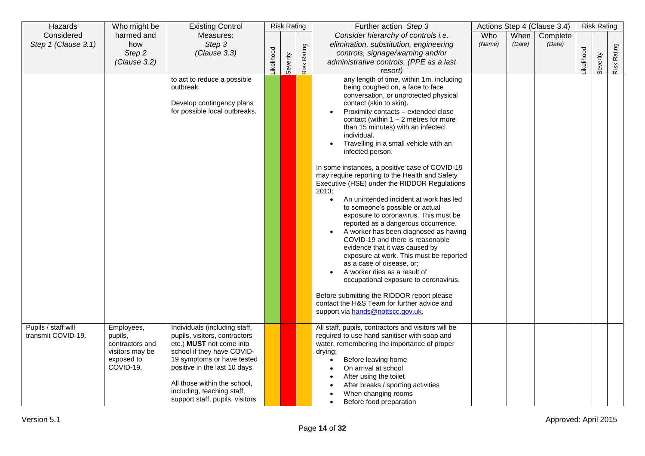| Hazards                                   | Who might be                                                                           | <b>Existing Control</b>                                                                                                                                                                                                                                                                         |           | <b>Risk Rating</b> |             | Further action Step 3                                                                                                                                                                                                                                                                                                                                                                                                                                                                                                                                                                                                                                                                                                                                                                                                                                                                                                                                                                                                                                                                        |               |                | Actions Step 4 (Clause 3.4) |                  | <b>Risk Rating</b> |             |
|-------------------------------------------|----------------------------------------------------------------------------------------|-------------------------------------------------------------------------------------------------------------------------------------------------------------------------------------------------------------------------------------------------------------------------------------------------|-----------|--------------------|-------------|----------------------------------------------------------------------------------------------------------------------------------------------------------------------------------------------------------------------------------------------------------------------------------------------------------------------------------------------------------------------------------------------------------------------------------------------------------------------------------------------------------------------------------------------------------------------------------------------------------------------------------------------------------------------------------------------------------------------------------------------------------------------------------------------------------------------------------------------------------------------------------------------------------------------------------------------------------------------------------------------------------------------------------------------------------------------------------------------|---------------|----------------|-----------------------------|------------------|--------------------|-------------|
| Considered<br>Step 1 (Clause 3.1)         | harmed and<br>how<br>Step 2<br>(Clause 3.2)                                            | Measures:<br>Step 3<br>(Clause 3.3)                                                                                                                                                                                                                                                             | ikelihood | Severity           | Risk Rating | Consider hierarchy of controls i.e.<br>elimination, substitution, engineering<br>controls, signage/warning and/or<br>administrative controls, (PPE as a last<br>resort)                                                                                                                                                                                                                                                                                                                                                                                                                                                                                                                                                                                                                                                                                                                                                                                                                                                                                                                      | Who<br>(Name) | When<br>(Date) | Complete<br>(Date)          | <b>ikelihood</b> | Severity           | Risk Rating |
|                                           |                                                                                        | to act to reduce a possible<br>outbreak.<br>Develop contingency plans<br>for possible local outbreaks.                                                                                                                                                                                          |           |                    |             | any length of time, within 1m, including<br>being coughed on, a face to face<br>conversation, or unprotected physical<br>contact (skin to skin).<br>Proximity contacts - extended close<br>contact (within $1 - 2$ metres for more<br>than 15 minutes) with an infected<br>individual.<br>Travelling in a small vehicle with an<br>infected person.<br>In some instances, a positive case of COVID-19<br>may require reporting to the Health and Safety<br>Executive (HSE) under the RIDDOR Regulations<br>2013:<br>An unintended incident at work has led<br>$\bullet$<br>to someone's possible or actual<br>exposure to coronavirus. This must be<br>reported as a dangerous occurrence.<br>A worker has been diagnosed as having<br>COVID-19 and there is reasonable<br>evidence that it was caused by<br>exposure at work. This must be reported<br>as a case of disease, or;<br>A worker dies as a result of<br>occupational exposure to coronavirus.<br>Before submitting the RIDDOR report please<br>contact the H&S Team for further advice and<br>support via hands@nottscc.gov.uk. |               |                |                             |                  |                    |             |
| Pupils / staff will<br>transmit COVID-19. | Employees,<br>pupils,<br>contractors and<br>visitors may be<br>exposed to<br>COVID-19. | Individuals (including staff,<br>pupils, visitors, contractors<br>etc.) <b>MUST</b> not come into<br>school if they have COVID-<br>19 symptoms or have tested<br>positive in the last 10 days.<br>All those within the school,<br>including, teaching staff,<br>support staff, pupils, visitors |           |                    |             | All staff, pupils, contractors and visitors will be<br>required to use hand sanitiser with soap and<br>water, remembering the importance of proper<br>drying;<br>Before leaving home<br>On arrival at school<br>After using the toilet<br>After breaks / sporting activities<br>When changing rooms<br>Before food preparation                                                                                                                                                                                                                                                                                                                                                                                                                                                                                                                                                                                                                                                                                                                                                               |               |                |                             |                  |                    |             |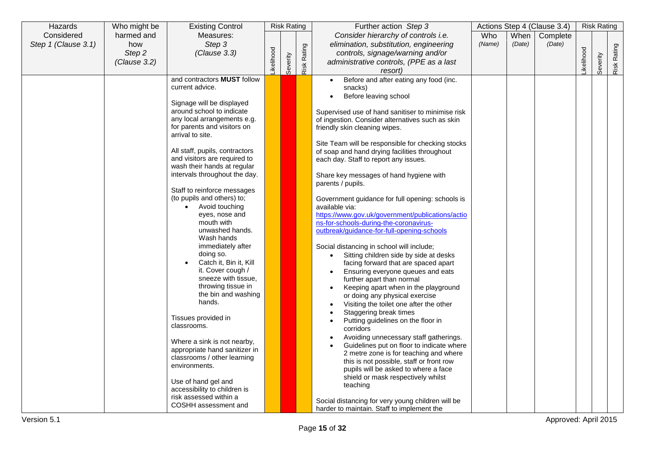| Hazards             | Who might be | <b>Existing Control</b>                                |           |          | <b>Risk Rating</b> | Further action Step 3                                                               |        |        | Actions Step 4 (Clause 3.4) |           | <b>Risk Rating</b> |             |
|---------------------|--------------|--------------------------------------------------------|-----------|----------|--------------------|-------------------------------------------------------------------------------------|--------|--------|-----------------------------|-----------|--------------------|-------------|
| Considered          | harmed and   | Measures:                                              |           |          |                    | Consider hierarchy of controls i.e.                                                 | Who    | When   | Complete                    |           |                    |             |
| Step 1 (Clause 3.1) | how          | Step 3                                                 |           |          |                    | elimination, substitution, engineering                                              | (Name) | (Date) | (Date)                      |           |                    |             |
|                     | Step 2       | (Clause 3.3)                                           |           |          |                    | controls, signage/warning and/or                                                    |        |        |                             |           |                    |             |
|                     | (Clause 3.2) |                                                        | ikelihood |          |                    | administrative controls, (PPE as a last                                             |        |        |                             | ikelihood |                    |             |
|                     |              |                                                        |           | Severity | Risk Rating        | resort)                                                                             |        |        |                             |           | Severity           | Risk Rating |
|                     |              | and contractors <b>MUST</b> follow                     |           |          |                    | Before and after eating any food (inc.                                              |        |        |                             |           |                    |             |
|                     |              | current advice.                                        |           |          |                    | snacks)                                                                             |        |        |                             |           |                    |             |
|                     |              |                                                        |           |          |                    | Before leaving school                                                               |        |        |                             |           |                    |             |
|                     |              | Signage will be displayed                              |           |          |                    |                                                                                     |        |        |                             |           |                    |             |
|                     |              | around school to indicate                              |           |          |                    | Supervised use of hand sanitiser to minimise risk                                   |        |        |                             |           |                    |             |
|                     |              | any local arrangements e.g.                            |           |          |                    | of ingestion. Consider alternatives such as skin                                    |        |        |                             |           |                    |             |
|                     |              | for parents and visitors on<br>arrival to site.        |           |          |                    | friendly skin cleaning wipes.                                                       |        |        |                             |           |                    |             |
|                     |              |                                                        |           |          |                    | Site Team will be responsible for checking stocks                                   |        |        |                             |           |                    |             |
|                     |              | All staff, pupils, contractors                         |           |          |                    | of soap and hand drying facilities throughout                                       |        |        |                             |           |                    |             |
|                     |              | and visitors are required to                           |           |          |                    | each day. Staff to report any issues.                                               |        |        |                             |           |                    |             |
|                     |              | wash their hands at regular                            |           |          |                    |                                                                                     |        |        |                             |           |                    |             |
|                     |              | intervals throughout the day.                          |           |          |                    | Share key messages of hand hygiene with                                             |        |        |                             |           |                    |             |
|                     |              |                                                        |           |          |                    | parents / pupils.                                                                   |        |        |                             |           |                    |             |
|                     |              | Staff to reinforce messages                            |           |          |                    |                                                                                     |        |        |                             |           |                    |             |
|                     |              | (to pupils and others) to;                             |           |          |                    | Government guidance for full opening: schools is                                    |        |        |                             |           |                    |             |
|                     |              | Avoid touching                                         |           |          |                    | available via:<br>https://www.gov.uk/government/publications/actio                  |        |        |                             |           |                    |             |
|                     |              | eyes, nose and<br>mouth with                           |           |          |                    | ns-for-schools-during-the-coronavirus-                                              |        |        |                             |           |                    |             |
|                     |              | unwashed hands.                                        |           |          |                    | outbreak/guidance-for-full-opening-schools                                          |        |        |                             |           |                    |             |
|                     |              | Wash hands                                             |           |          |                    |                                                                                     |        |        |                             |           |                    |             |
|                     |              | immediately after                                      |           |          |                    | Social distancing in school will include;                                           |        |        |                             |           |                    |             |
|                     |              | doing so.                                              |           |          |                    | Sitting children side by side at desks                                              |        |        |                             |           |                    |             |
|                     |              | Catch it, Bin it, Kill                                 |           |          |                    | facing forward that are spaced apart                                                |        |        |                             |           |                    |             |
|                     |              | it. Cover cough /                                      |           |          |                    | Ensuring everyone queues and eats                                                   |        |        |                             |           |                    |             |
|                     |              | sneeze with tissue,                                    |           |          |                    | further apart than normal                                                           |        |        |                             |           |                    |             |
|                     |              | throwing tissue in                                     |           |          |                    | Keeping apart when in the playground<br>$\bullet$                                   |        |        |                             |           |                    |             |
|                     |              | the bin and washing                                    |           |          |                    | or doing any physical exercise                                                      |        |        |                             |           |                    |             |
|                     |              | hands.                                                 |           |          |                    | Visiting the toilet one after the other<br>$\bullet$                                |        |        |                             |           |                    |             |
|                     |              | Tissues provided in                                    |           |          |                    | Staggering break times                                                              |        |        |                             |           |                    |             |
|                     |              | classrooms.                                            |           |          |                    | Putting guidelines on the floor in<br>$\bullet$                                     |        |        |                             |           |                    |             |
|                     |              |                                                        |           |          |                    | corridors                                                                           |        |        |                             |           |                    |             |
|                     |              | Where a sink is not nearby,                            |           |          |                    | Avoiding unnecessary staff gatherings.                                              |        |        |                             |           |                    |             |
|                     |              | appropriate hand sanitizer in                          |           |          |                    | Guidelines put on floor to indicate where<br>2 metre zone is for teaching and where |        |        |                             |           |                    |             |
|                     |              | classrooms / other learning                            |           |          |                    | this is not possible, staff or front row                                            |        |        |                             |           |                    |             |
|                     |              | environments.                                          |           |          |                    | pupils will be asked to where a face                                                |        |        |                             |           |                    |             |
|                     |              |                                                        |           |          |                    | shield or mask respectively whilst                                                  |        |        |                             |           |                    |             |
|                     |              | Use of hand gel and                                    |           |          |                    | teaching                                                                            |        |        |                             |           |                    |             |
|                     |              | accessibility to children is<br>risk assessed within a |           |          |                    |                                                                                     |        |        |                             |           |                    |             |
|                     |              | COSHH assessment and                                   |           |          |                    | Social distancing for very young children will be                                   |        |        |                             |           |                    |             |
|                     |              |                                                        |           |          |                    | harder to maintain. Staff to implement the                                          |        |        |                             |           |                    |             |
| Version 5.1         |              |                                                        |           |          |                    |                                                                                     |        |        | Approved: April 2015        |           |                    |             |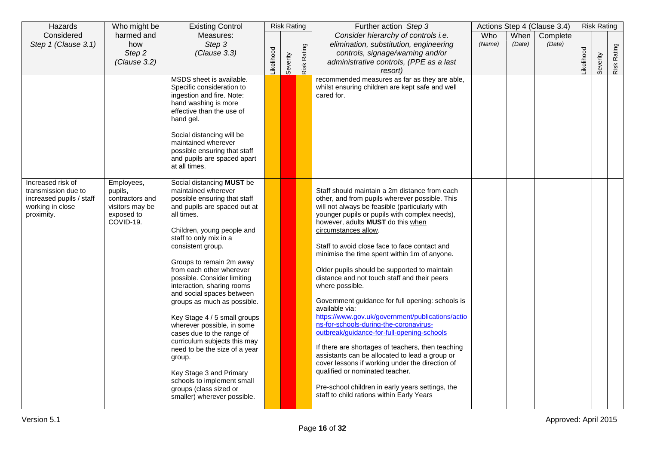| Hazards                                                                                                | Who might be                                                                           | <b>Existing Control</b>                                                                                                                                                                                                                                                                                                                                                                                                                                                                                                                                                                                                                                                              |           |          | <b>Risk Rating</b> | Further action Step 3                                                                                                                                                                                                                                                                                                                                                                                                                                                                                                                                                                                                                                                                                                                                                                                                                                                                                                                                                                               |               |                | Actions Step 4 (Clause 3.4) |           | <b>Risk Rating</b> |             |
|--------------------------------------------------------------------------------------------------------|----------------------------------------------------------------------------------------|--------------------------------------------------------------------------------------------------------------------------------------------------------------------------------------------------------------------------------------------------------------------------------------------------------------------------------------------------------------------------------------------------------------------------------------------------------------------------------------------------------------------------------------------------------------------------------------------------------------------------------------------------------------------------------------|-----------|----------|--------------------|-----------------------------------------------------------------------------------------------------------------------------------------------------------------------------------------------------------------------------------------------------------------------------------------------------------------------------------------------------------------------------------------------------------------------------------------------------------------------------------------------------------------------------------------------------------------------------------------------------------------------------------------------------------------------------------------------------------------------------------------------------------------------------------------------------------------------------------------------------------------------------------------------------------------------------------------------------------------------------------------------------|---------------|----------------|-----------------------------|-----------|--------------------|-------------|
| Considered<br>Step 1 (Clause 3.1)                                                                      | harmed and<br>how<br>Step 2<br>(Clause 3.2)                                            | Measures:<br>Step 3<br>(Clause 3.3)                                                                                                                                                                                                                                                                                                                                                                                                                                                                                                                                                                                                                                                  | ikelihood | Severity | Risk Rating        | Consider hierarchy of controls i.e.<br>elimination, substitution, engineering<br>controls, signage/warning and/or<br>administrative controls, (PPE as a last<br>resort)                                                                                                                                                                                                                                                                                                                                                                                                                                                                                                                                                                                                                                                                                                                                                                                                                             | Who<br>(Name) | When<br>(Date) | Complete<br>(Date)          | ikelihood | Severity           | Risk Rating |
|                                                                                                        |                                                                                        | MSDS sheet is available.<br>Specific consideration to<br>ingestion and fire. Note:<br>hand washing is more<br>effective than the use of<br>hand gel.<br>Social distancing will be<br>maintained wherever<br>possible ensuring that staff<br>and pupils are spaced apart<br>at all times.                                                                                                                                                                                                                                                                                                                                                                                             |           |          |                    | recommended measures as far as they are able,<br>whilst ensuring children are kept safe and well<br>cared for.                                                                                                                                                                                                                                                                                                                                                                                                                                                                                                                                                                                                                                                                                                                                                                                                                                                                                      |               |                |                             |           |                    |             |
| Increased risk of<br>transmission due to<br>increased pupils / staff<br>working in close<br>proximity. | Employees,<br>pupils,<br>contractors and<br>visitors may be<br>exposed to<br>COVID-19. | Social distancing MUST be<br>maintained wherever<br>possible ensuring that staff<br>and pupils are spaced out at<br>all times.<br>Children, young people and<br>staff to only mix in a<br>consistent group.<br>Groups to remain 2m away<br>from each other wherever<br>possible. Consider limiting<br>interaction, sharing rooms<br>and social spaces between<br>groups as much as possible.<br>Key Stage 4 / 5 small groups<br>wherever possible, in some<br>cases due to the range of<br>curriculum subjects this may<br>need to be the size of a year<br>group.<br>Key Stage 3 and Primary<br>schools to implement small<br>groups (class sized or<br>smaller) wherever possible. |           |          |                    | Staff should maintain a 2m distance from each<br>other, and from pupils wherever possible. This<br>will not always be feasible (particularly with<br>younger pupils or pupils with complex needs),<br>however, adults MUST do this when<br>circumstances allow.<br>Staff to avoid close face to face contact and<br>minimise the time spent within 1m of anyone.<br>Older pupils should be supported to maintain<br>distance and not touch staff and their peers<br>where possible.<br>Government guidance for full opening: schools is<br>available via:<br>https://www.gov.uk/government/publications/actio<br>ns-for-schools-during-the-coronavirus-<br>outbreak/guidance-for-full-opening-schools<br>If there are shortages of teachers, then teaching<br>assistants can be allocated to lead a group or<br>cover lessons if working under the direction of<br>qualified or nominated teacher.<br>Pre-school children in early years settings, the<br>staff to child rations within Early Years |               |                |                             |           |                    |             |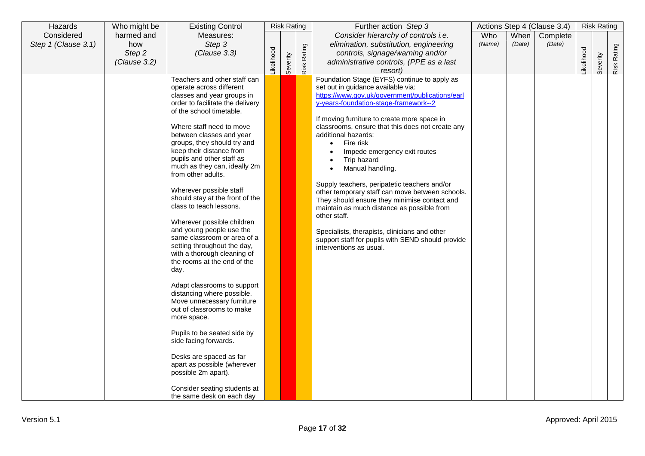| Considered<br>harmed and<br>Measures:<br>Consider hierarchy of controls i.e.<br>Who<br>Complete<br>When<br>Step 3<br>Step 1 (Clause 3.1)<br>elimination, substitution, engineering<br>how<br>(Name)<br>(Date)<br>(Date)<br>Risk Rating<br><b>ikelihood</b><br><b>ikelihood</b><br>Step 2<br>(Clause 3.3)<br>controls, signage/warning and/or<br>Severity<br>Severity<br>(Clause 3.2)<br>administrative controls, (PPE as a last<br>resort)<br>Foundation Stage (EYFS) continue to apply as<br>Teachers and other staff can<br>operate across different<br>set out in guidance available via:<br>https://www.gov.uk/government/publications/earl<br>classes and year groups in<br>y-years-foundation-stage-framework--2<br>order to facilitate the delivery<br>of the school timetable.<br>If moving furniture to create more space in<br>Where staff need to move<br>classrooms, ensure that this does not create any<br>additional hazards:<br>between classes and year<br>groups, they should try and<br>Fire risk<br>$\bullet$<br>keep their distance from<br>Impede emergency exit routes<br>pupils and other staff as<br>Trip hazard<br>much as they can, ideally 2m<br>Manual handling.<br>from other adults.<br>Supply teachers, peripatetic teachers and/or<br>Wherever possible staff<br>other temporary staff can move between schools.<br>should stay at the front of the<br>They should ensure they minimise contact and<br>class to teach lessons.<br>maintain as much distance as possible from<br>other staff.<br>Wherever possible children<br>and young people use the<br>Specialists, therapists, clinicians and other<br>same classroom or area of a<br>support staff for pupils with SEND should provide<br>setting throughout the day,<br>interventions as usual.<br>with a thorough cleaning of<br>the rooms at the end of the<br>day.<br>Adapt classrooms to support<br>distancing where possible.<br>Move unnecessary furniture<br>out of classrooms to make<br>more space.<br>Pupils to be seated side by<br>side facing forwards.<br>Desks are spaced as far<br>apart as possible (wherever<br>possible 2m apart). | Hazards | Who might be | <b>Existing Control</b>      | <b>Risk Rating</b> | Further action Step 3 |  | Actions Step 4 (Clause 3.4) | <b>Risk Rating</b> |             |
|----------------------------------------------------------------------------------------------------------------------------------------------------------------------------------------------------------------------------------------------------------------------------------------------------------------------------------------------------------------------------------------------------------------------------------------------------------------------------------------------------------------------------------------------------------------------------------------------------------------------------------------------------------------------------------------------------------------------------------------------------------------------------------------------------------------------------------------------------------------------------------------------------------------------------------------------------------------------------------------------------------------------------------------------------------------------------------------------------------------------------------------------------------------------------------------------------------------------------------------------------------------------------------------------------------------------------------------------------------------------------------------------------------------------------------------------------------------------------------------------------------------------------------------------------------------------------------------------------------------------------------------------------------------------------------------------------------------------------------------------------------------------------------------------------------------------------------------------------------------------------------------------------------------------------------------------------------------------------------------------------------------------------------------------------------------------------------------------------------------------------------------------|---------|--------------|------------------------------|--------------------|-----------------------|--|-----------------------------|--------------------|-------------|
|                                                                                                                                                                                                                                                                                                                                                                                                                                                                                                                                                                                                                                                                                                                                                                                                                                                                                                                                                                                                                                                                                                                                                                                                                                                                                                                                                                                                                                                                                                                                                                                                                                                                                                                                                                                                                                                                                                                                                                                                                                                                                                                                              |         |              |                              |                    |                       |  |                             |                    |             |
|                                                                                                                                                                                                                                                                                                                                                                                                                                                                                                                                                                                                                                                                                                                                                                                                                                                                                                                                                                                                                                                                                                                                                                                                                                                                                                                                                                                                                                                                                                                                                                                                                                                                                                                                                                                                                                                                                                                                                                                                                                                                                                                                              |         |              |                              |                    |                       |  |                             |                    |             |
|                                                                                                                                                                                                                                                                                                                                                                                                                                                                                                                                                                                                                                                                                                                                                                                                                                                                                                                                                                                                                                                                                                                                                                                                                                                                                                                                                                                                                                                                                                                                                                                                                                                                                                                                                                                                                                                                                                                                                                                                                                                                                                                                              |         |              |                              |                    |                       |  |                             |                    |             |
|                                                                                                                                                                                                                                                                                                                                                                                                                                                                                                                                                                                                                                                                                                                                                                                                                                                                                                                                                                                                                                                                                                                                                                                                                                                                                                                                                                                                                                                                                                                                                                                                                                                                                                                                                                                                                                                                                                                                                                                                                                                                                                                                              |         |              |                              |                    |                       |  |                             |                    |             |
|                                                                                                                                                                                                                                                                                                                                                                                                                                                                                                                                                                                                                                                                                                                                                                                                                                                                                                                                                                                                                                                                                                                                                                                                                                                                                                                                                                                                                                                                                                                                                                                                                                                                                                                                                                                                                                                                                                                                                                                                                                                                                                                                              |         |              |                              |                    |                       |  |                             |                    |             |
|                                                                                                                                                                                                                                                                                                                                                                                                                                                                                                                                                                                                                                                                                                                                                                                                                                                                                                                                                                                                                                                                                                                                                                                                                                                                                                                                                                                                                                                                                                                                                                                                                                                                                                                                                                                                                                                                                                                                                                                                                                                                                                                                              |         |              |                              |                    |                       |  |                             |                    | Risk Rating |
|                                                                                                                                                                                                                                                                                                                                                                                                                                                                                                                                                                                                                                                                                                                                                                                                                                                                                                                                                                                                                                                                                                                                                                                                                                                                                                                                                                                                                                                                                                                                                                                                                                                                                                                                                                                                                                                                                                                                                                                                                                                                                                                                              |         |              | Consider seating students at |                    |                       |  |                             |                    |             |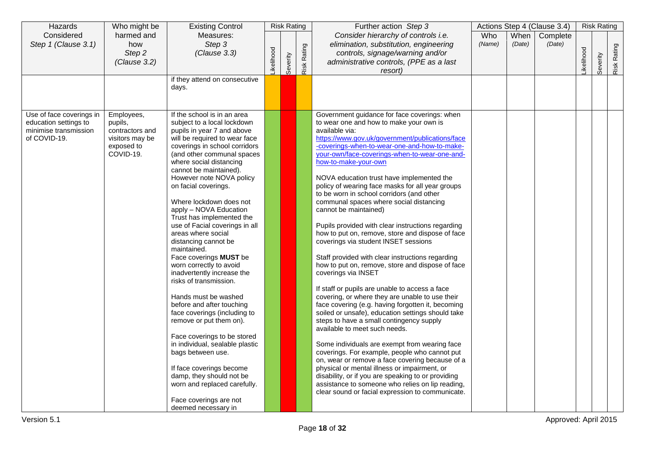| Hazards                  | Who might be    | <b>Existing Control</b>                              |            | <b>Risk Rating</b> |             | Further action Step 3                                                                                 |        |        | Actions Step 4 (Clause 3.4) |                  | <b>Risk Rating</b> |             |
|--------------------------|-----------------|------------------------------------------------------|------------|--------------------|-------------|-------------------------------------------------------------------------------------------------------|--------|--------|-----------------------------|------------------|--------------------|-------------|
| Considered               | harmed and      | Measures:                                            |            |                    |             | Consider hierarchy of controls i.e.                                                                   | Who    | When   | Complete                    |                  |                    |             |
| Step 1 (Clause 3.1)      | how             | Step 3                                               |            |                    |             | elimination, substitution, engineering                                                                | (Name) | (Date) | (Date)                      |                  |                    |             |
|                          | Step 2          | (Clause 3.3)                                         | _ikelihood |                    | Risk Rating | controls, signage/warning and/or                                                                      |        |        |                             | <b>ikelihood</b> |                    | Risk Rating |
|                          | (Clause 3.2)    |                                                      |            | Severity           |             | administrative controls, (PPE as a last                                                               |        |        |                             |                  | Severity           |             |
|                          |                 |                                                      |            |                    |             | resort)                                                                                               |        |        |                             |                  |                    |             |
|                          |                 | if they attend on consecutive                        |            |                    |             |                                                                                                       |        |        |                             |                  |                    |             |
|                          |                 | days.                                                |            |                    |             |                                                                                                       |        |        |                             |                  |                    |             |
|                          |                 |                                                      |            |                    |             |                                                                                                       |        |        |                             |                  |                    |             |
| Use of face coverings in | Employees,      | If the school is in an area                          |            |                    |             | Government guidance for face coverings: when                                                          |        |        |                             |                  |                    |             |
| education settings to    | pupils,         | subject to a local lockdown                          |            |                    |             | to wear one and how to make your own is                                                               |        |        |                             |                  |                    |             |
| minimise transmission    | contractors and | pupils in year 7 and above                           |            |                    |             | available via:                                                                                        |        |        |                             |                  |                    |             |
| of COVID-19.             | visitors may be | will be required to wear face                        |            |                    |             | https://www.gov.uk/government/publications/face                                                       |        |        |                             |                  |                    |             |
|                          | exposed to      | coverings in school corridors                        |            |                    |             | -coverings-when-to-wear-one-and-how-to-make-                                                          |        |        |                             |                  |                    |             |
|                          | COVID-19.       | (and other communal spaces                           |            |                    |             | your-own/face-coverings-when-to-wear-one-and-                                                         |        |        |                             |                  |                    |             |
|                          |                 | where social distancing                              |            |                    |             | how-to-make-your-own                                                                                  |        |        |                             |                  |                    |             |
|                          |                 | cannot be maintained).                               |            |                    |             |                                                                                                       |        |        |                             |                  |                    |             |
|                          |                 | However note NOVA policy                             |            |                    |             | NOVA education trust have implemented the                                                             |        |        |                             |                  |                    |             |
|                          |                 | on facial coverings.                                 |            |                    |             | policy of wearing face masks for all year groups                                                      |        |        |                             |                  |                    |             |
|                          |                 |                                                      |            |                    |             | to be worn in school corridors (and other                                                             |        |        |                             |                  |                    |             |
|                          |                 | Where lockdown does not                              |            |                    |             | communal spaces where social distancing                                                               |        |        |                             |                  |                    |             |
|                          |                 | apply - NOVA Education                               |            |                    |             | cannot be maintained)                                                                                 |        |        |                             |                  |                    |             |
|                          |                 | Trust has implemented the                            |            |                    |             |                                                                                                       |        |        |                             |                  |                    |             |
|                          |                 | use of Facial coverings in all<br>areas where social |            |                    |             | Pupils provided with clear instructions regarding<br>how to put on, remove, store and dispose of face |        |        |                             |                  |                    |             |
|                          |                 | distancing cannot be                                 |            |                    |             | coverings via student INSET sessions                                                                  |        |        |                             |                  |                    |             |
|                          |                 | maintained.                                          |            |                    |             |                                                                                                       |        |        |                             |                  |                    |             |
|                          |                 | Face coverings MUST be                               |            |                    |             | Staff provided with clear instructions regarding                                                      |        |        |                             |                  |                    |             |
|                          |                 | worn correctly to avoid                              |            |                    |             | how to put on, remove, store and dispose of face                                                      |        |        |                             |                  |                    |             |
|                          |                 | inadvertently increase the                           |            |                    |             | coverings via INSET                                                                                   |        |        |                             |                  |                    |             |
|                          |                 | risks of transmission.                               |            |                    |             |                                                                                                       |        |        |                             |                  |                    |             |
|                          |                 |                                                      |            |                    |             | If staff or pupils are unable to access a face                                                        |        |        |                             |                  |                    |             |
|                          |                 | Hands must be washed                                 |            |                    |             | covering, or where they are unable to use their                                                       |        |        |                             |                  |                    |             |
|                          |                 | before and after touching                            |            |                    |             | face covering (e.g. having forgotten it, becoming                                                     |        |        |                             |                  |                    |             |
|                          |                 | face coverings (including to                         |            |                    |             | soiled or unsafe), education settings should take                                                     |        |        |                             |                  |                    |             |
|                          |                 | remove or put them on).                              |            |                    |             | steps to have a small contingency supply                                                              |        |        |                             |                  |                    |             |
|                          |                 |                                                      |            |                    |             | available to meet such needs.                                                                         |        |        |                             |                  |                    |             |
|                          |                 | Face coverings to be stored                          |            |                    |             |                                                                                                       |        |        |                             |                  |                    |             |
|                          |                 | in individual, sealable plastic                      |            |                    |             | Some individuals are exempt from wearing face                                                         |        |        |                             |                  |                    |             |
|                          |                 | bags between use.                                    |            |                    |             | coverings. For example, people who cannot put                                                         |        |        |                             |                  |                    |             |
|                          |                 | If face coverings become                             |            |                    |             | on, wear or remove a face covering because of a<br>physical or mental illness or impairment, or       |        |        |                             |                  |                    |             |
|                          |                 | damp, they should not be                             |            |                    |             | disability, or if you are speaking to or providing                                                    |        |        |                             |                  |                    |             |
|                          |                 | worn and replaced carefully.                         |            |                    |             | assistance to someone who relies on lip reading,                                                      |        |        |                             |                  |                    |             |
|                          |                 |                                                      |            |                    |             | clear sound or facial expression to communicate.                                                      |        |        |                             |                  |                    |             |
|                          |                 | Face coverings are not                               |            |                    |             |                                                                                                       |        |        |                             |                  |                    |             |
|                          |                 | deemed necessary in                                  |            |                    |             |                                                                                                       |        |        |                             |                  |                    |             |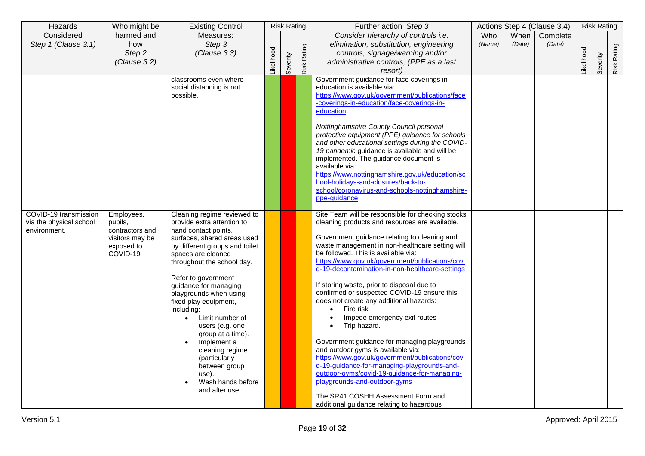| Hazards                 | Who might be                  | <b>Existing Control</b>                                       |            |          | <b>Risk Rating</b> | Further action Step 3                                                                  |        |        | Actions Step 4 (Clause 3.4) |           | <b>Risk Rating</b> |             |
|-------------------------|-------------------------------|---------------------------------------------------------------|------------|----------|--------------------|----------------------------------------------------------------------------------------|--------|--------|-----------------------------|-----------|--------------------|-------------|
| Considered              | harmed and                    | Measures:                                                     |            |          |                    | Consider hierarchy of controls i.e.                                                    | Who    | When   | Complete                    |           |                    |             |
| Step 1 (Clause 3.1)     | how                           | Step 3                                                        |            |          |                    | elimination, substitution, engineering                                                 | (Name) | (Date) | (Date)                      |           |                    |             |
|                         | Step 2                        | (Clause 3.3)                                                  | Likelihood | Severity | Risk Rating        | controls, signage/warning and/or<br>administrative controls, (PPE as a last            |        |        |                             | ikelihood | Severity           | Risk Rating |
|                         | (Clause 3.2)                  |                                                               |            |          |                    | resort)                                                                                |        |        |                             |           |                    |             |
|                         |                               | classrooms even where                                         |            |          |                    | Government guidance for face coverings in                                              |        |        |                             |           |                    |             |
|                         |                               | social distancing is not                                      |            |          |                    | education is available via:                                                            |        |        |                             |           |                    |             |
|                         |                               | possible.                                                     |            |          |                    | https://www.gov.uk/government/publications/face                                        |        |        |                             |           |                    |             |
|                         |                               |                                                               |            |          |                    | -coverings-in-education/face-coverings-in-                                             |        |        |                             |           |                    |             |
|                         |                               |                                                               |            |          |                    | education                                                                              |        |        |                             |           |                    |             |
|                         |                               |                                                               |            |          |                    | Nottinghamshire County Council personal                                                |        |        |                             |           |                    |             |
|                         |                               |                                                               |            |          |                    | protective equipment (PPE) guidance for schools                                        |        |        |                             |           |                    |             |
|                         |                               |                                                               |            |          |                    | and other educational settings during the COVID-                                       |        |        |                             |           |                    |             |
|                         |                               |                                                               |            |          |                    | 19 pandemic guidance is available and will be<br>implemented. The guidance document is |        |        |                             |           |                    |             |
|                         |                               |                                                               |            |          |                    | available via:                                                                         |        |        |                             |           |                    |             |
|                         |                               |                                                               |            |          |                    | https://www.nottinghamshire.gov.uk/education/sc                                        |        |        |                             |           |                    |             |
|                         |                               |                                                               |            |          |                    | hool-holidays-and-closures/back-to-                                                    |        |        |                             |           |                    |             |
|                         |                               |                                                               |            |          |                    | school/coronavirus-and-schools-nottinghamshire-<br>ppe-quidance                        |        |        |                             |           |                    |             |
|                         |                               |                                                               |            |          |                    |                                                                                        |        |        |                             |           |                    |             |
| COVID-19 transmission   | Employees,                    | Cleaning regime reviewed to                                   |            |          |                    | Site Team will be responsible for checking stocks                                      |        |        |                             |           |                    |             |
| via the physical school | pupils,                       | provide extra attention to                                    |            |          |                    | cleaning products and resources are available.                                         |        |        |                             |           |                    |             |
| environment.            | contractors and               | hand contact points,                                          |            |          |                    | Government guidance relating to cleaning and                                           |        |        |                             |           |                    |             |
|                         | visitors may be<br>exposed to | surfaces, shared areas used<br>by different groups and toilet |            |          |                    | waste management in non-healthcare setting will                                        |        |        |                             |           |                    |             |
|                         | COVID-19.                     | spaces are cleaned                                            |            |          |                    | be followed. This is available via:                                                    |        |        |                             |           |                    |             |
|                         |                               | throughout the school day.                                    |            |          |                    | https://www.gov.uk/government/publications/covi                                        |        |        |                             |           |                    |             |
|                         |                               |                                                               |            |          |                    | d-19-decontamination-in-non-healthcare-settings                                        |        |        |                             |           |                    |             |
|                         |                               | Refer to government<br>guidance for managing                  |            |          |                    | If storing waste, prior to disposal due to                                             |        |        |                             |           |                    |             |
|                         |                               | playgrounds when using                                        |            |          |                    | confirmed or suspected COVID-19 ensure this                                            |        |        |                             |           |                    |             |
|                         |                               | fixed play equipment,                                         |            |          |                    | does not create any additional hazards:                                                |        |        |                             |           |                    |             |
|                         |                               | including;                                                    |            |          |                    | Fire risk<br>$\bullet$                                                                 |        |        |                             |           |                    |             |
|                         |                               | Limit number of<br>$\bullet$                                  |            |          |                    | Impede emergency exit routes<br>$\bullet$                                              |        |        |                             |           |                    |             |
|                         |                               | users (e.g. one<br>group at a time).                          |            |          |                    | Trip hazard.                                                                           |        |        |                             |           |                    |             |
|                         |                               | Implement a                                                   |            |          |                    | Government guidance for managing playgrounds                                           |        |        |                             |           |                    |             |
|                         |                               | cleaning regime                                               |            |          |                    | and outdoor gyms is available via:                                                     |        |        |                             |           |                    |             |
|                         |                               | (particularly                                                 |            |          |                    | https://www.gov.uk/government/publications/covi                                        |        |        |                             |           |                    |             |
|                         |                               | between group                                                 |            |          |                    | d-19-guidance-for-managing-playgrounds-and-                                            |        |        |                             |           |                    |             |
|                         |                               | use).<br>Wash hands before                                    |            |          |                    | outdoor-gyms/covid-19-guidance-for-managing-<br>playgrounds-and-outdoor-gyms           |        |        |                             |           |                    |             |
|                         |                               | and after use.                                                |            |          |                    |                                                                                        |        |        |                             |           |                    |             |
|                         |                               |                                                               |            |          |                    | The SR41 COSHH Assessment Form and                                                     |        |        |                             |           |                    |             |
|                         |                               |                                                               |            |          |                    | additional guidance relating to hazardous                                              |        |        |                             |           |                    |             |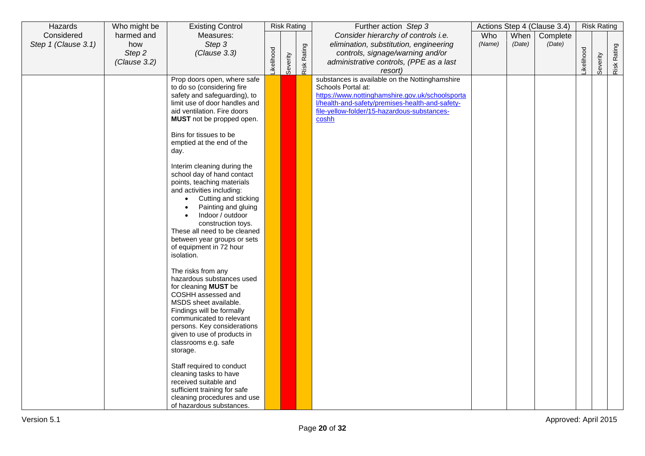| Hazards             | Who might be | <b>Existing Control</b>                                       |            | <b>Risk Rating</b> |             | Further action Step 3                                                                              |        |        | Actions Step 4 (Clause 3.4) |           | <b>Risk Rating</b> |             |
|---------------------|--------------|---------------------------------------------------------------|------------|--------------------|-------------|----------------------------------------------------------------------------------------------------|--------|--------|-----------------------------|-----------|--------------------|-------------|
| Considered          | harmed and   | Measures:                                                     |            |                    |             | Consider hierarchy of controls i.e.                                                                | Who    | When   | Complete                    |           |                    |             |
| Step 1 (Clause 3.1) | how          | Step 3                                                        |            |                    |             | elimination, substitution, engineering                                                             | (Name) | (Date) | (Date)                      |           |                    |             |
|                     | Step 2       | (Clause 3.3)                                                  |            |                    |             | controls, signage/warning and/or                                                                   |        |        |                             |           |                    |             |
|                     | (Clause 3.2) |                                                               | Likelihood | Severity           | Risk Rating | administrative controls, (PPE as a last<br>resort)                                                 |        |        |                             | ikelihood | Severity           | Risk Rating |
|                     |              | Prop doors open, where safe                                   |            |                    |             | substances is available on the Nottinghamshire                                                     |        |        |                             |           |                    |             |
|                     |              | to do so (considering fire                                    |            |                    |             | Schools Portal at:                                                                                 |        |        |                             |           |                    |             |
|                     |              | safety and safeguarding), to<br>limit use of door handles and |            |                    |             | https://www.nottinghamshire.gov.uk/schoolsporta<br>l/health-and-safety/premises-health-and-safety- |        |        |                             |           |                    |             |
|                     |              | aid ventilation. Fire doors                                   |            |                    |             | file-yellow-folder/15-hazardous-substances-                                                        |        |        |                             |           |                    |             |
|                     |              | MUST not be propped open.                                     |            |                    |             | coshh                                                                                              |        |        |                             |           |                    |             |
|                     |              | Bins for tissues to be                                        |            |                    |             |                                                                                                    |        |        |                             |           |                    |             |
|                     |              | emptied at the end of the                                     |            |                    |             |                                                                                                    |        |        |                             |           |                    |             |
|                     |              | day.                                                          |            |                    |             |                                                                                                    |        |        |                             |           |                    |             |
|                     |              | Interim cleaning during the                                   |            |                    |             |                                                                                                    |        |        |                             |           |                    |             |
|                     |              | school day of hand contact<br>points, teaching materials      |            |                    |             |                                                                                                    |        |        |                             |           |                    |             |
|                     |              | and activities including:                                     |            |                    |             |                                                                                                    |        |        |                             |           |                    |             |
|                     |              | Cutting and sticking<br>$\bullet$                             |            |                    |             |                                                                                                    |        |        |                             |           |                    |             |
|                     |              | Painting and gluing                                           |            |                    |             |                                                                                                    |        |        |                             |           |                    |             |
|                     |              | Indoor / outdoor<br>construction toys.                        |            |                    |             |                                                                                                    |        |        |                             |           |                    |             |
|                     |              | These all need to be cleaned                                  |            |                    |             |                                                                                                    |        |        |                             |           |                    |             |
|                     |              | between year groups or sets                                   |            |                    |             |                                                                                                    |        |        |                             |           |                    |             |
|                     |              | of equipment in 72 hour                                       |            |                    |             |                                                                                                    |        |        |                             |           |                    |             |
|                     |              | isolation.                                                    |            |                    |             |                                                                                                    |        |        |                             |           |                    |             |
|                     |              | The risks from any                                            |            |                    |             |                                                                                                    |        |        |                             |           |                    |             |
|                     |              | hazardous substances used<br>for cleaning MUST be             |            |                    |             |                                                                                                    |        |        |                             |           |                    |             |
|                     |              | COSHH assessed and                                            |            |                    |             |                                                                                                    |        |        |                             |           |                    |             |
|                     |              | MSDS sheet available.                                         |            |                    |             |                                                                                                    |        |        |                             |           |                    |             |
|                     |              | Findings will be formally<br>communicated to relevant         |            |                    |             |                                                                                                    |        |        |                             |           |                    |             |
|                     |              | persons. Key considerations                                   |            |                    |             |                                                                                                    |        |        |                             |           |                    |             |
|                     |              | given to use of products in                                   |            |                    |             |                                                                                                    |        |        |                             |           |                    |             |
|                     |              | classrooms e.g. safe                                          |            |                    |             |                                                                                                    |        |        |                             |           |                    |             |
|                     |              | storage.                                                      |            |                    |             |                                                                                                    |        |        |                             |           |                    |             |
|                     |              | Staff required to conduct                                     |            |                    |             |                                                                                                    |        |        |                             |           |                    |             |
|                     |              | cleaning tasks to have<br>received suitable and               |            |                    |             |                                                                                                    |        |        |                             |           |                    |             |
|                     |              | sufficient training for safe                                  |            |                    |             |                                                                                                    |        |        |                             |           |                    |             |
|                     |              | cleaning procedures and use                                   |            |                    |             |                                                                                                    |        |        |                             |           |                    |             |
|                     |              | of hazardous substances.                                      |            |                    |             |                                                                                                    |        |        |                             |           |                    |             |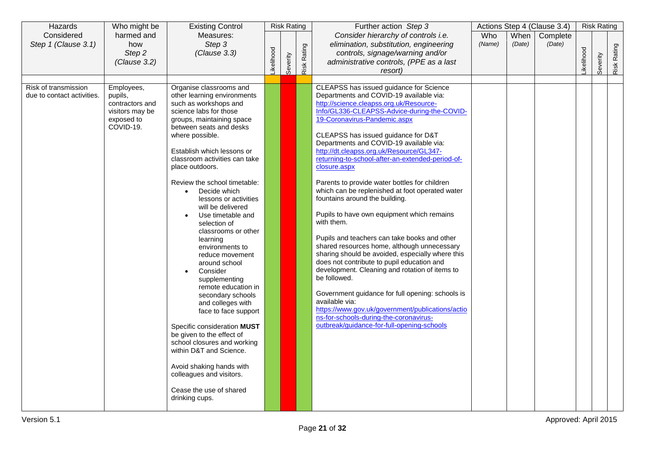| Hazards                                            | Who might be                                                                           | <b>Existing Control</b>                                                                                                                                                                                                                                                                                                                                                                                                                                                                                                                                                                                                                                                                                                                                                                                                                                           |           | <b>Risk Rating</b> |             | Further action Step 3                                                                                                                                                                                                                                                                                                                                                                                                                                                                                                                                                                                                                                                                                                                                                                                                                                                                                                                                                                                                                                                                                 |               |                | Actions Step 4 (Clause 3.4) |           | <b>Risk Rating</b> |             |
|----------------------------------------------------|----------------------------------------------------------------------------------------|-------------------------------------------------------------------------------------------------------------------------------------------------------------------------------------------------------------------------------------------------------------------------------------------------------------------------------------------------------------------------------------------------------------------------------------------------------------------------------------------------------------------------------------------------------------------------------------------------------------------------------------------------------------------------------------------------------------------------------------------------------------------------------------------------------------------------------------------------------------------|-----------|--------------------|-------------|-------------------------------------------------------------------------------------------------------------------------------------------------------------------------------------------------------------------------------------------------------------------------------------------------------------------------------------------------------------------------------------------------------------------------------------------------------------------------------------------------------------------------------------------------------------------------------------------------------------------------------------------------------------------------------------------------------------------------------------------------------------------------------------------------------------------------------------------------------------------------------------------------------------------------------------------------------------------------------------------------------------------------------------------------------------------------------------------------------|---------------|----------------|-----------------------------|-----------|--------------------|-------------|
| Considered<br>Step 1 (Clause 3.1)                  | harmed and<br>how<br>Step 2<br>(Clause 3.2)                                            | Measures:<br>Step 3<br>(Clause 3.3)                                                                                                                                                                                                                                                                                                                                                                                                                                                                                                                                                                                                                                                                                                                                                                                                                               | ikelihood | Severity           | Risk Rating | Consider hierarchy of controls i.e.<br>elimination, substitution, engineering<br>controls, signage/warning and/or<br>administrative controls, (PPE as a last<br>resort)                                                                                                                                                                                                                                                                                                                                                                                                                                                                                                                                                                                                                                                                                                                                                                                                                                                                                                                               | Who<br>(Name) | When<br>(Date) | Complete<br>(Date)          | ikelihood | Severity           | Risk Rating |
| Risk of transmission<br>due to contact activities. | Employees,<br>pupils,<br>contractors and<br>visitors may be<br>exposed to<br>COVID-19. | Organise classrooms and<br>other learning environments<br>such as workshops and<br>science labs for those<br>groups, maintaining space<br>between seats and desks<br>where possible.<br>Establish which lessons or<br>classroom activities can take<br>place outdoors.<br>Review the school timetable:<br>Decide which<br>lessons or activities<br>will be delivered<br>Use timetable and<br>$\bullet$<br>selection of<br>classrooms or other<br>learning<br>environments to<br>reduce movement<br>around school<br>Consider<br>supplementing<br>remote education in<br>secondary schools<br>and colleges with<br>face to face support<br>Specific consideration MUST<br>be given to the effect of<br>school closures and working<br>within D&T and Science.<br>Avoid shaking hands with<br>colleagues and visitors.<br>Cease the use of shared<br>drinking cups. |           |                    |             | CLEAPSS has issued guidance for Science<br>Departments and COVID-19 available via:<br>http://science.cleapss.org.uk/Resource-<br>Info/GL336-CLEAPSS-Advice-during-the-COVID-<br>19-Coronavirus-Pandemic.aspx<br>CLEAPSS has issued guidance for D&T<br>Departments and COVID-19 available via:<br>http://dt.cleapss.org.uk/Resource/GL347-<br>returning-to-school-after-an-extended-period-of-<br>closure.aspx<br>Parents to provide water bottles for children<br>which can be replenished at foot operated water<br>fountains around the building.<br>Pupils to have own equipment which remains<br>with them.<br>Pupils and teachers can take books and other<br>shared resources home, although unnecessary<br>sharing should be avoided, especially where this<br>does not contribute to pupil education and<br>development. Cleaning and rotation of items to<br>be followed.<br>Government guidance for full opening: schools is<br>available via:<br>https://www.gov.uk/government/publications/actio<br>ns-for-schools-during-the-coronavirus-<br>outbreak/guidance-for-full-opening-schools |               |                |                             |           |                    |             |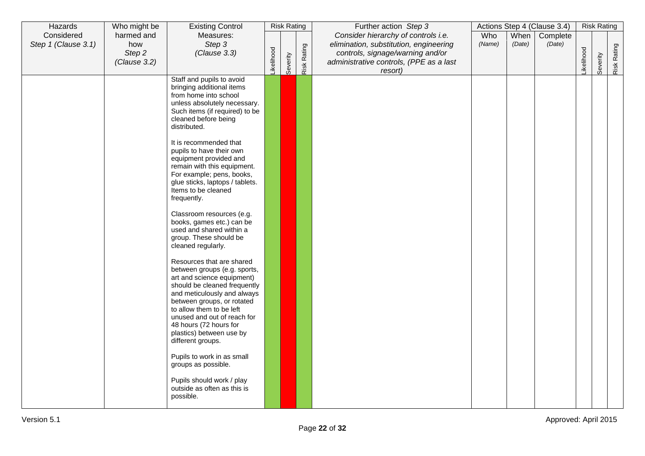| Hazards                           | Who might be           | <b>Existing Control</b>                                                                                                                                                                                                                                                                                                    |            | <b>Risk Rating</b> |             | Further action Step 3                                                                  |               |                | Actions Step 4 (Clause 3.4) |                  | <b>Risk Rating</b> |             |
|-----------------------------------|------------------------|----------------------------------------------------------------------------------------------------------------------------------------------------------------------------------------------------------------------------------------------------------------------------------------------------------------------------|------------|--------------------|-------------|----------------------------------------------------------------------------------------|---------------|----------------|-----------------------------|------------------|--------------------|-------------|
| Considered<br>Step 1 (Clause 3.1) | harmed and<br>how      | Measures:<br>Step 3                                                                                                                                                                                                                                                                                                        |            |                    |             | Consider hierarchy of controls i.e.<br>elimination, substitution, engineering          | Who<br>(Name) | When<br>(Date) | Complete<br>(Date)          |                  |                    |             |
|                                   | Step 2<br>(Clause 3.2) | (Clause 3.3)                                                                                                                                                                                                                                                                                                               | Likelihood | Severity           | Risk Rating | controls, signage/warning and/or<br>administrative controls, (PPE as a last<br>resort) |               |                |                             | <b>ikelihood</b> | Severity           | Risk Rating |
|                                   |                        | Staff and pupils to avoid<br>bringing additional items<br>from home into school<br>unless absolutely necessary.<br>Such items (if required) to be<br>cleaned before being<br>distributed.                                                                                                                                  |            |                    |             |                                                                                        |               |                |                             |                  |                    |             |
|                                   |                        | It is recommended that<br>pupils to have their own<br>equipment provided and<br>remain with this equipment.<br>For example; pens, books,<br>glue sticks, laptops / tablets.<br>Items to be cleaned<br>frequently.                                                                                                          |            |                    |             |                                                                                        |               |                |                             |                  |                    |             |
|                                   |                        | Classroom resources (e.g.<br>books, games etc.) can be<br>used and shared within a<br>group. These should be<br>cleaned regularly.                                                                                                                                                                                         |            |                    |             |                                                                                        |               |                |                             |                  |                    |             |
|                                   |                        | Resources that are shared<br>between groups (e.g. sports,<br>art and science equipment)<br>should be cleaned frequently<br>and meticulously and always<br>between groups, or rotated<br>to allow them to be left<br>unused and out of reach for<br>48 hours (72 hours for<br>plastics) between use by<br>different groups. |            |                    |             |                                                                                        |               |                |                             |                  |                    |             |
|                                   |                        | Pupils to work in as small<br>groups as possible.                                                                                                                                                                                                                                                                          |            |                    |             |                                                                                        |               |                |                             |                  |                    |             |
|                                   |                        | Pupils should work / play<br>outside as often as this is<br>possible.                                                                                                                                                                                                                                                      |            |                    |             |                                                                                        |               |                |                             |                  |                    |             |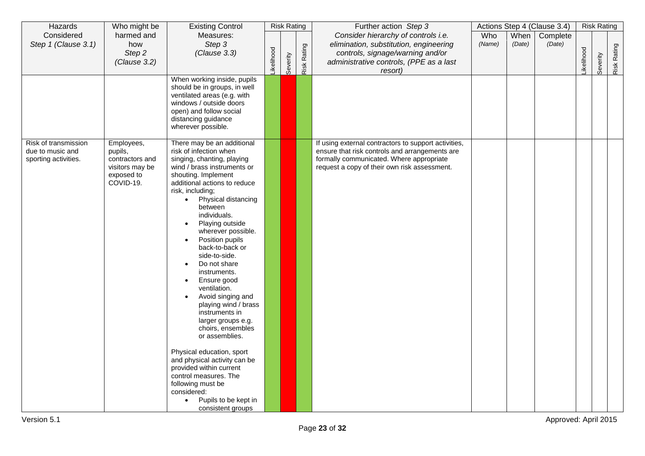| Hazards                                                          | Who might be                                                                           | <b>Existing Control</b>                                                                                                                                                                                                                                                                                                                                                                                                                                                                                                                                                                                                                                                                                                                                                            |                  | <b>Risk Rating</b> |             | Further action Step 3                                                                                                                                                                              |               |                | Actions Step 4 (Clause 3.4) |                  | <b>Risk Rating</b> |             |
|------------------------------------------------------------------|----------------------------------------------------------------------------------------|------------------------------------------------------------------------------------------------------------------------------------------------------------------------------------------------------------------------------------------------------------------------------------------------------------------------------------------------------------------------------------------------------------------------------------------------------------------------------------------------------------------------------------------------------------------------------------------------------------------------------------------------------------------------------------------------------------------------------------------------------------------------------------|------------------|--------------------|-------------|----------------------------------------------------------------------------------------------------------------------------------------------------------------------------------------------------|---------------|----------------|-----------------------------|------------------|--------------------|-------------|
| Considered<br>Step 1 (Clause 3.1)                                | harmed and<br>how<br>Step 2<br>(Clause 3.2)                                            | Measures:<br>Step 3<br>(Clause 3.3)                                                                                                                                                                                                                                                                                                                                                                                                                                                                                                                                                                                                                                                                                                                                                | <b>ikelihood</b> | Severity           | Risk Rating | Consider hierarchy of controls i.e.<br>elimination, substitution, engineering<br>controls, signage/warning and/or<br>administrative controls, (PPE as a last<br>resort)                            | Who<br>(Name) | When<br>(Date) | Complete<br>(Date)          | <b>ikelihood</b> | Severity           | Risk Rating |
|                                                                  |                                                                                        | When working inside, pupils<br>should be in groups, in well<br>ventilated areas (e.g. with<br>windows / outside doors<br>open) and follow social<br>distancing guidance<br>wherever possible.                                                                                                                                                                                                                                                                                                                                                                                                                                                                                                                                                                                      |                  |                    |             |                                                                                                                                                                                                    |               |                |                             |                  |                    |             |
| Risk of transmission<br>due to music and<br>sporting activities. | Employees,<br>pupils,<br>contractors and<br>visitors may be<br>exposed to<br>COVID-19. | There may be an additional<br>risk of infection when<br>singing, chanting, playing<br>wind / brass instruments or<br>shouting. Implement<br>additional actions to reduce<br>risk, including;<br>Physical distancing<br>$\bullet$<br>between<br>individuals.<br>Playing outside<br>wherever possible.<br>Position pupils<br>back-to-back or<br>side-to-side.<br>Do not share<br>instruments.<br>Ensure good<br>$\bullet$<br>ventilation.<br>Avoid singing and<br>playing wind / brass<br>instruments in<br>larger groups e.g.<br>choirs, ensembles<br>or assemblies.<br>Physical education, sport<br>and physical activity can be<br>provided within current<br>control measures. The<br>following must be<br>considered:<br>Pupils to be kept in<br>$\bullet$<br>consistent groups |                  |                    |             | If using external contractors to support activities,<br>ensure that risk controls and arrangements are<br>formally communicated. Where appropriate<br>request a copy of their own risk assessment. |               |                |                             |                  |                    |             |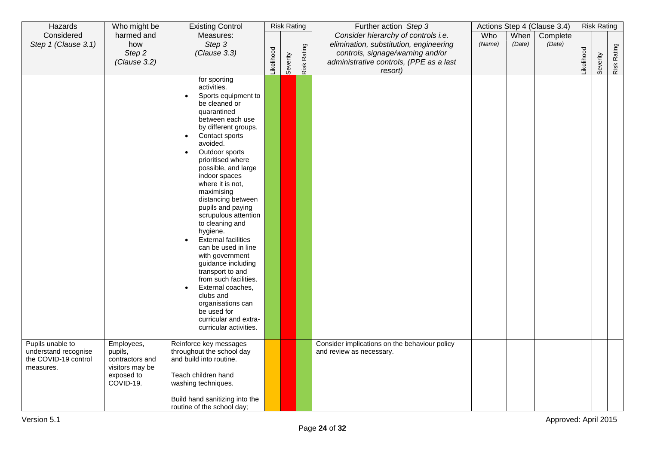| Hazards                                                                       | Who might be                                                                           | <b>Existing Control</b>                                                                                                                                                                                                                                                                                                                                                                                                                                                                                                                                                                                                                                                                    |           | <b>Risk Rating</b> |                    | Further action Step 3                                                                                                                                                   |               |                | Actions Step 4 (Clause 3.4) |                  | <b>Risk Rating</b> |             |
|-------------------------------------------------------------------------------|----------------------------------------------------------------------------------------|--------------------------------------------------------------------------------------------------------------------------------------------------------------------------------------------------------------------------------------------------------------------------------------------------------------------------------------------------------------------------------------------------------------------------------------------------------------------------------------------------------------------------------------------------------------------------------------------------------------------------------------------------------------------------------------------|-----------|--------------------|--------------------|-------------------------------------------------------------------------------------------------------------------------------------------------------------------------|---------------|----------------|-----------------------------|------------------|--------------------|-------------|
| Considered<br>Step 1 (Clause 3.1)                                             | harmed and<br>how<br>Step 2<br>(Clause 3.2)                                            | Measures:<br>Step 3<br>(Clause 3.3)                                                                                                                                                                                                                                                                                                                                                                                                                                                                                                                                                                                                                                                        | ikelihood | Severity           | <b>Risk Rating</b> | Consider hierarchy of controls i.e.<br>elimination, substitution, engineering<br>controls, signage/warning and/or<br>administrative controls, (PPE as a last<br>resort) | Who<br>(Name) | When<br>(Date) | Complete<br>(Date)          | <b>ikelihood</b> | Severity           | Risk Rating |
|                                                                               |                                                                                        | for sporting<br>activities.<br>Sports equipment to<br>be cleaned or<br>quarantined<br>between each use<br>by different groups.<br>Contact sports<br>$\bullet$<br>avoided.<br>Outdoor sports<br>$\bullet$<br>prioritised where<br>possible, and large<br>indoor spaces<br>where it is not,<br>maximising<br>distancing between<br>pupils and paying<br>scrupulous attention<br>to cleaning and<br>hygiene.<br><b>External facilities</b><br>can be used in line<br>with government<br>guidance including<br>transport to and<br>from such facilities.<br>External coaches,<br>$\bullet$<br>clubs and<br>organisations can<br>be used for<br>curricular and extra-<br>curricular activities. |           |                    |                    |                                                                                                                                                                         |               |                |                             |                  |                    |             |
| Pupils unable to<br>understand recognise<br>the COVID-19 control<br>measures. | Employees,<br>pupils,<br>contractors and<br>visitors may be<br>exposed to<br>COVID-19. | Reinforce key messages<br>throughout the school day<br>and build into routine.<br>Teach children hand<br>washing techniques.                                                                                                                                                                                                                                                                                                                                                                                                                                                                                                                                                               |           |                    |                    | Consider implications on the behaviour policy<br>and review as necessary.                                                                                               |               |                |                             |                  |                    |             |
|                                                                               |                                                                                        | Build hand sanitizing into the<br>routine of the school day;                                                                                                                                                                                                                                                                                                                                                                                                                                                                                                                                                                                                                               |           |                    |                    |                                                                                                                                                                         |               |                |                             |                  |                    |             |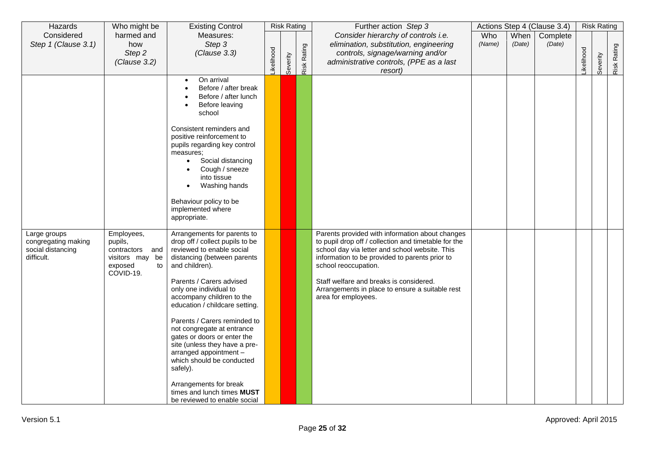| Hazards                                                                | Who might be                                                                              | <b>Existing Control</b>                                                                                                                                                                                                                                                                                                                                                                                                                                                                                                                                    |           | <b>Risk Rating</b> |             | Further action Step 3                                                                                                                                                                                                                                                                                                                                    |               |                | Actions Step 4 (Clause 3.4) |                  | <b>Risk Rating</b> |             |
|------------------------------------------------------------------------|-------------------------------------------------------------------------------------------|------------------------------------------------------------------------------------------------------------------------------------------------------------------------------------------------------------------------------------------------------------------------------------------------------------------------------------------------------------------------------------------------------------------------------------------------------------------------------------------------------------------------------------------------------------|-----------|--------------------|-------------|----------------------------------------------------------------------------------------------------------------------------------------------------------------------------------------------------------------------------------------------------------------------------------------------------------------------------------------------------------|---------------|----------------|-----------------------------|------------------|--------------------|-------------|
| Considered<br>Step 1 (Clause 3.1)                                      | harmed and<br>how<br>Step 2<br>(Clause 3.2)                                               | Measures:<br>Step 3<br>(Clause 3.3)                                                                                                                                                                                                                                                                                                                                                                                                                                                                                                                        | ikelihood | Severity           | Risk Rating | Consider hierarchy of controls i.e.<br>elimination, substitution, engineering<br>controls, signage/warning and/or<br>administrative controls, (PPE as a last<br>resort)                                                                                                                                                                                  | Who<br>(Name) | When<br>(Date) | Complete<br>(Date)          | <b>ikelihood</b> | Severity           | Risk Rating |
|                                                                        |                                                                                           | On arrival<br>Before / after break<br>Before / after lunch<br>Before leaving<br>school<br>Consistent reminders and<br>positive reinforcement to<br>pupils regarding key control<br>measures:<br>Social distancing<br>$\bullet$<br>Cough / sneeze<br>into tissue<br>Washing hands<br>Behaviour policy to be<br>implemented where<br>appropriate.                                                                                                                                                                                                            |           |                    |             |                                                                                                                                                                                                                                                                                                                                                          |               |                |                             |                  |                    |             |
| Large groups<br>congregating making<br>social distancing<br>difficult. | Employees,<br>pupils,<br>contractors and<br>visitors may be<br>exposed<br>to<br>COVID-19. | Arrangements for parents to<br>drop off / collect pupils to be<br>reviewed to enable social<br>distancing (between parents<br>and children).<br>Parents / Carers advised<br>only one individual to<br>accompany children to the<br>education / childcare setting.<br>Parents / Carers reminded to<br>not congregate at entrance<br>gates or doors or enter the<br>site (unless they have a pre-<br>arranged appointment -<br>which should be conducted<br>safely).<br>Arrangements for break<br>times and lunch times MUST<br>be reviewed to enable social |           |                    |             | Parents provided with information about changes<br>to pupil drop off / collection and timetable for the<br>school day via letter and school website. This<br>information to be provided to parents prior to<br>school reoccupation.<br>Staff welfare and breaks is considered.<br>Arrangements in place to ensure a suitable rest<br>area for employees. |               |                |                             |                  |                    |             |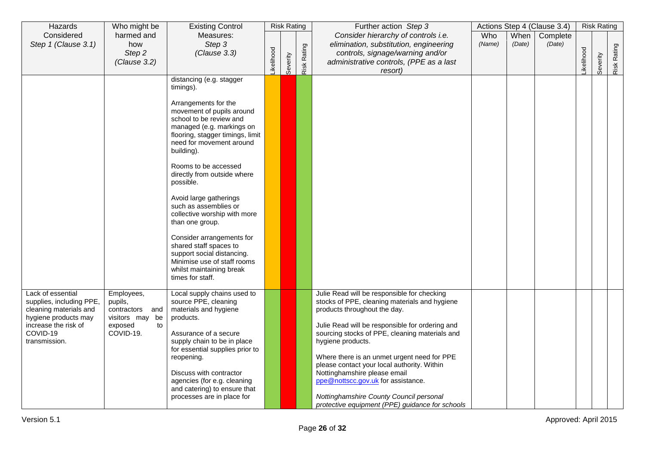| Hazards                                                                                                                                              | Who might be                                                                              | <b>Existing Control</b>                                                                                                                                                                                                                                                                                                                                                                                                                                                                                                                                                        |           | <b>Risk Rating</b> |             | Further action Step 3                                                                                                                                                                                                                                                                                                                                                                                                                                                                                                    |               |                | Actions Step 4 (Clause 3.4) |           | <b>Risk Rating</b> |             |
|------------------------------------------------------------------------------------------------------------------------------------------------------|-------------------------------------------------------------------------------------------|--------------------------------------------------------------------------------------------------------------------------------------------------------------------------------------------------------------------------------------------------------------------------------------------------------------------------------------------------------------------------------------------------------------------------------------------------------------------------------------------------------------------------------------------------------------------------------|-----------|--------------------|-------------|--------------------------------------------------------------------------------------------------------------------------------------------------------------------------------------------------------------------------------------------------------------------------------------------------------------------------------------------------------------------------------------------------------------------------------------------------------------------------------------------------------------------------|---------------|----------------|-----------------------------|-----------|--------------------|-------------|
| Considered<br>Step 1 (Clause 3.1)                                                                                                                    | harmed and<br>how<br>Step <sub>2</sub><br>(Clause 3.2)                                    | Measures:<br>Step 3<br>(Clause 3.3)                                                                                                                                                                                                                                                                                                                                                                                                                                                                                                                                            | ikelihood | Severity           | Risk Rating | Consider hierarchy of controls i.e.<br>elimination, substitution, engineering<br>controls, signage/warning and/or<br>administrative controls, (PPE as a last<br>resort)                                                                                                                                                                                                                                                                                                                                                  | Who<br>(Name) | When<br>(Date) | Complete<br>(Date)          | ikelihood | Severity           | Risk Rating |
|                                                                                                                                                      |                                                                                           | distancing (e.g. stagger<br>timings).<br>Arrangements for the<br>movement of pupils around<br>school to be review and<br>managed (e.g. markings on<br>flooring, stagger timings, limit<br>need for movement around<br>building).<br>Rooms to be accessed<br>directly from outside where<br>possible.<br>Avoid large gatherings<br>such as assemblies or<br>collective worship with more<br>than one group.<br>Consider arrangements for<br>shared staff spaces to<br>support social distancing.<br>Minimise use of staff rooms<br>whilst maintaining break<br>times for staff. |           |                    |             |                                                                                                                                                                                                                                                                                                                                                                                                                                                                                                                          |               |                |                             |           |                    |             |
| Lack of essential<br>supplies, including PPE,<br>cleaning materials and<br>hygiene products may<br>increase the risk of<br>COVID-19<br>transmission. | Employees,<br>pupils,<br>contractors and<br>visitors may be<br>exposed<br>to<br>COVID-19. | Local supply chains used to<br>source PPE, cleaning<br>materials and hygiene<br>products.<br>Assurance of a secure<br>supply chain to be in place<br>for essential supplies prior to<br>reopening.<br>Discuss with contractor<br>agencies (for e.g. cleaning<br>and catering) to ensure that<br>processes are in place for                                                                                                                                                                                                                                                     |           |                    |             | Julie Read will be responsible for checking<br>stocks of PPE, cleaning materials and hygiene<br>products throughout the day.<br>Julie Read will be responsible for ordering and<br>sourcing stocks of PPE, cleaning materials and<br>hygiene products.<br>Where there is an unmet urgent need for PPE<br>please contact your local authority. Within<br>Nottinghamshire please email<br>ppe@nottscc.gov.uk for assistance.<br>Nottinghamshire County Council personal<br>protective equipment (PPE) guidance for schools |               |                |                             |           |                    |             |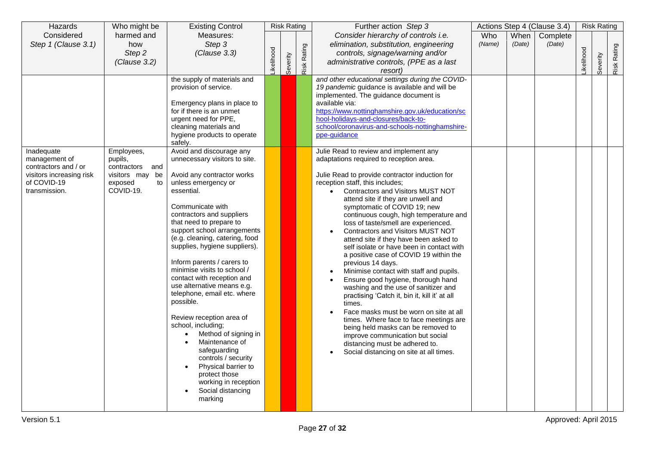| Hazards                               | Who might be                       | <b>Existing Control</b>                              |                  |          | <b>Risk Rating</b> | Further action Step 3                                                                             |        |        | Actions Step 4 (Clause 3.4) |                  | <b>Risk Rating</b> |             |
|---------------------------------------|------------------------------------|------------------------------------------------------|------------------|----------|--------------------|---------------------------------------------------------------------------------------------------|--------|--------|-----------------------------|------------------|--------------------|-------------|
| Considered                            | harmed and                         | Measures:                                            |                  |          |                    | Consider hierarchy of controls i.e.                                                               | Who    | When   | Complete                    |                  |                    |             |
| Step 1 (Clause 3.1)                   | how                                | Step 3                                               |                  |          |                    | elimination, substitution, engineering                                                            | (Name) | (Date) | (Date)                      |                  |                    |             |
|                                       | Step 2                             | (Clause 3.3)                                         |                  |          |                    | controls, signage/warning and/or                                                                  |        |        |                             |                  |                    |             |
|                                       | (Clause 3.2)                       |                                                      | <b>ikelihood</b> | Severity | Risk Rating        | administrative controls, (PPE as a last                                                           |        |        |                             | <b>ikelihood</b> | Severity           | Risk Rating |
|                                       |                                    |                                                      |                  |          |                    | resort)                                                                                           |        |        |                             |                  |                    |             |
|                                       |                                    | the supply of materials and<br>provision of service. |                  |          |                    | and other educational settings during the COVID-<br>19 pandemic guidance is available and will be |        |        |                             |                  |                    |             |
|                                       |                                    |                                                      |                  |          |                    | implemented. The guidance document is                                                             |        |        |                             |                  |                    |             |
|                                       |                                    | Emergency plans in place to                          |                  |          |                    | available via:                                                                                    |        |        |                             |                  |                    |             |
|                                       |                                    | for if there is an unmet                             |                  |          |                    | https://www.nottinghamshire.gov.uk/education/sc                                                   |        |        |                             |                  |                    |             |
|                                       |                                    | urgent need for PPE,                                 |                  |          |                    | hool-holidays-and-closures/back-to-                                                               |        |        |                             |                  |                    |             |
|                                       |                                    | cleaning materials and                               |                  |          |                    | school/coronavirus-and-schools-nottinghamshire-<br>ppe-guidance                                   |        |        |                             |                  |                    |             |
|                                       |                                    | hygiene products to operate<br>safely.               |                  |          |                    |                                                                                                   |        |        |                             |                  |                    |             |
| Inadequate                            | Employees,                         | Avoid and discourage any                             |                  |          |                    | Julie Read to review and implement any                                                            |        |        |                             |                  |                    |             |
| management of<br>contractors and / or | pupils,                            | unnecessary visitors to site.                        |                  |          |                    | adaptations required to reception area.                                                           |        |        |                             |                  |                    |             |
| visitors increasing risk              | contractors and<br>visitors may be | Avoid any contractor works                           |                  |          |                    | Julie Read to provide contractor induction for                                                    |        |        |                             |                  |                    |             |
| of COVID-19                           | exposed<br>to                      | unless emergency or                                  |                  |          |                    | reception staff, this includes;                                                                   |        |        |                             |                  |                    |             |
| transmission.                         | COVID-19.                          | essential.                                           |                  |          |                    | <b>Contractors and Visitors MUST NOT</b><br>$\bullet$                                             |        |        |                             |                  |                    |             |
|                                       |                                    |                                                      |                  |          |                    | attend site if they are unwell and                                                                |        |        |                             |                  |                    |             |
|                                       |                                    | Communicate with                                     |                  |          |                    | symptomatic of COVID 19; new                                                                      |        |        |                             |                  |                    |             |
|                                       |                                    | contractors and suppliers<br>that need to prepare to |                  |          |                    | continuous cough, high temperature and<br>loss of taste/smell are experienced.                    |        |        |                             |                  |                    |             |
|                                       |                                    | support school arrangements                          |                  |          |                    | Contractors and Visitors MUST NOT                                                                 |        |        |                             |                  |                    |             |
|                                       |                                    | (e.g. cleaning, catering, food                       |                  |          |                    | attend site if they have been asked to                                                            |        |        |                             |                  |                    |             |
|                                       |                                    | supplies, hygiene suppliers).                        |                  |          |                    | self isolate or have been in contact with                                                         |        |        |                             |                  |                    |             |
|                                       |                                    | Inform parents / carers to                           |                  |          |                    | a positive case of COVID 19 within the<br>previous 14 days.                                       |        |        |                             |                  |                    |             |
|                                       |                                    | minimise visits to school /                          |                  |          |                    | Minimise contact with staff and pupils.<br>$\bullet$                                              |        |        |                             |                  |                    |             |
|                                       |                                    | contact with reception and                           |                  |          |                    | Ensure good hygiene, thorough hand                                                                |        |        |                             |                  |                    |             |
|                                       |                                    | use alternative means e.g.                           |                  |          |                    | washing and the use of sanitizer and                                                              |        |        |                             |                  |                    |             |
|                                       |                                    | telephone, email etc. where<br>possible.             |                  |          |                    | practising 'Catch it, bin it, kill it' at all                                                     |        |        |                             |                  |                    |             |
|                                       |                                    |                                                      |                  |          |                    | times.                                                                                            |        |        |                             |                  |                    |             |
|                                       |                                    | Review reception area of                             |                  |          |                    | Face masks must be worn on site at all<br>times. Where face to face meetings are                  |        |        |                             |                  |                    |             |
|                                       |                                    | school, including;                                   |                  |          |                    | being held masks can be removed to                                                                |        |        |                             |                  |                    |             |
|                                       |                                    | Method of signing in                                 |                  |          |                    | improve communication but social                                                                  |        |        |                             |                  |                    |             |
|                                       |                                    | Maintenance of<br>$\bullet$                          |                  |          |                    | distancing must be adhered to.                                                                    |        |        |                             |                  |                    |             |
|                                       |                                    | safeguarding<br>controls / security                  |                  |          |                    | Social distancing on site at all times.                                                           |        |        |                             |                  |                    |             |
|                                       |                                    | Physical barrier to<br>$\bullet$                     |                  |          |                    |                                                                                                   |        |        |                             |                  |                    |             |
|                                       |                                    | protect those                                        |                  |          |                    |                                                                                                   |        |        |                             |                  |                    |             |
|                                       |                                    | working in reception                                 |                  |          |                    |                                                                                                   |        |        |                             |                  |                    |             |
|                                       |                                    | Social distancing                                    |                  |          |                    |                                                                                                   |        |        |                             |                  |                    |             |
|                                       |                                    | marking                                              |                  |          |                    |                                                                                                   |        |        |                             |                  |                    |             |
|                                       |                                    |                                                      |                  |          |                    |                                                                                                   |        |        |                             |                  |                    |             |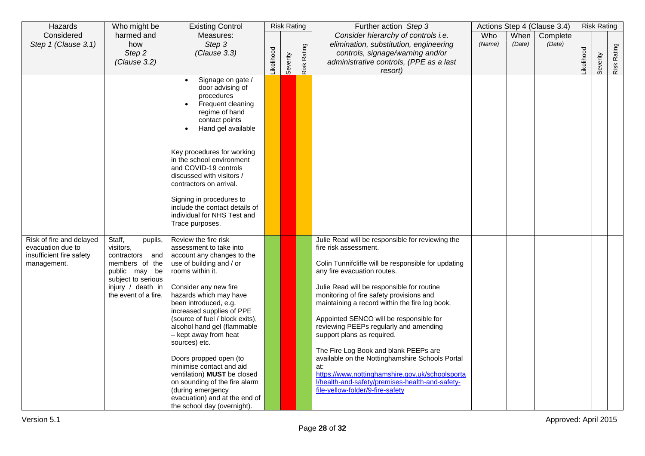| Hazards                  | Who might be                    | <b>Existing Control</b>                                      |           | <b>Risk Rating</b> |             | Further action Step 3                                                                             |        |        | Actions Step 4 (Clause 3.4) |           | <b>Risk Rating</b> |             |
|--------------------------|---------------------------------|--------------------------------------------------------------|-----------|--------------------|-------------|---------------------------------------------------------------------------------------------------|--------|--------|-----------------------------|-----------|--------------------|-------------|
| Considered               | harmed and                      | Measures:                                                    |           |                    |             | Consider hierarchy of controls i.e.                                                               | Who    | When   | Complete                    |           |                    |             |
| Step 1 (Clause 3.1)      | how                             | Step 3                                                       |           |                    |             | elimination, substitution, engineering                                                            | (Name) | (Date) | (Date)                      |           |                    |             |
|                          | Step 2                          | (Clause 3.3)                                                 |           |                    |             | controls, signage/warning and/or                                                                  |        |        |                             |           |                    |             |
|                          | (Clause 3.2)                    |                                                              | ikelihood | Severity           | Risk Rating | administrative controls, (PPE as a last                                                           |        |        |                             | ikelihood | Severity           | Risk Rating |
|                          |                                 |                                                              |           |                    |             | resort)                                                                                           |        |        |                             |           |                    |             |
|                          |                                 | Signage on gate /<br>$\bullet$<br>door advising of           |           |                    |             |                                                                                                   |        |        |                             |           |                    |             |
|                          |                                 | procedures                                                   |           |                    |             |                                                                                                   |        |        |                             |           |                    |             |
|                          |                                 | Frequent cleaning                                            |           |                    |             |                                                                                                   |        |        |                             |           |                    |             |
|                          |                                 | regime of hand                                               |           |                    |             |                                                                                                   |        |        |                             |           |                    |             |
|                          |                                 | contact points<br>Hand gel available                         |           |                    |             |                                                                                                   |        |        |                             |           |                    |             |
|                          |                                 | $\bullet$                                                    |           |                    |             |                                                                                                   |        |        |                             |           |                    |             |
|                          |                                 |                                                              |           |                    |             |                                                                                                   |        |        |                             |           |                    |             |
|                          |                                 | Key procedures for working                                   |           |                    |             |                                                                                                   |        |        |                             |           |                    |             |
|                          |                                 | in the school environment<br>and COVID-19 controls           |           |                    |             |                                                                                                   |        |        |                             |           |                    |             |
|                          |                                 | discussed with visitors /                                    |           |                    |             |                                                                                                   |        |        |                             |           |                    |             |
|                          |                                 | contractors on arrival.                                      |           |                    |             |                                                                                                   |        |        |                             |           |                    |             |
|                          |                                 | Signing in procedures to                                     |           |                    |             |                                                                                                   |        |        |                             |           |                    |             |
|                          |                                 | include the contact details of                               |           |                    |             |                                                                                                   |        |        |                             |           |                    |             |
|                          |                                 | individual for NHS Test and                                  |           |                    |             |                                                                                                   |        |        |                             |           |                    |             |
|                          |                                 | Trace purposes.                                              |           |                    |             |                                                                                                   |        |        |                             |           |                    |             |
| Risk of fire and delayed | Staff,<br>pupils,               | Review the fire risk                                         |           |                    |             | Julie Read will be responsible for reviewing the                                                  |        |        |                             |           |                    |             |
| evacuation due to        | visitors,                       | assessment to take into                                      |           |                    |             | fire risk assessment.                                                                             |        |        |                             |           |                    |             |
| insufficient fire safety | contractors and                 | account any changes to the                                   |           |                    |             |                                                                                                   |        |        |                             |           |                    |             |
| management.              | members of the<br>public may be | use of building and / or<br>rooms within it.                 |           |                    |             | Colin Tunnifcliffe will be responsible for updating<br>any fire evacuation routes.                |        |        |                             |           |                    |             |
|                          | subject to serious              |                                                              |           |                    |             |                                                                                                   |        |        |                             |           |                    |             |
|                          | injury / death in               | Consider any new fire                                        |           |                    |             | Julie Read will be responsible for routine                                                        |        |        |                             |           |                    |             |
|                          | the event of a fire.            | hazards which may have<br>been introduced, e.g.              |           |                    |             | monitoring of fire safety provisions and<br>maintaining a record within the fire log book.        |        |        |                             |           |                    |             |
|                          |                                 | increased supplies of PPE                                    |           |                    |             |                                                                                                   |        |        |                             |           |                    |             |
|                          |                                 | (source of fuel / block exits),                              |           |                    |             | Appointed SENCO will be responsible for                                                           |        |        |                             |           |                    |             |
|                          |                                 | alcohol hand gel (flammable                                  |           |                    |             | reviewing PEEPs regularly and amending                                                            |        |        |                             |           |                    |             |
|                          |                                 | - kept away from heat<br>sources) etc.                       |           |                    |             | support plans as required.                                                                        |        |        |                             |           |                    |             |
|                          |                                 |                                                              |           |                    |             | The Fire Log Book and blank PEEPs are                                                             |        |        |                             |           |                    |             |
|                          |                                 | Doors propped open (to                                       |           |                    |             | available on the Nottinghamshire Schools Portal                                                   |        |        |                             |           |                    |             |
|                          |                                 | minimise contact and aid                                     |           |                    |             | at:                                                                                               |        |        |                             |           |                    |             |
|                          |                                 | ventilation) MUST be closed<br>on sounding of the fire alarm |           |                    |             | https://www.nottinghamshire.gov.uk/schoolsporta<br>Vhealth-and-safety/premises-health-and-safety- |        |        |                             |           |                    |             |
|                          |                                 | (during emergency                                            |           |                    |             | file-yellow-folder/9-fire-safety                                                                  |        |        |                             |           |                    |             |
|                          |                                 | evacuation) and at the end of                                |           |                    |             |                                                                                                   |        |        |                             |           |                    |             |
|                          |                                 | the school day (overnight).                                  |           |                    |             |                                                                                                   |        |        |                             |           |                    |             |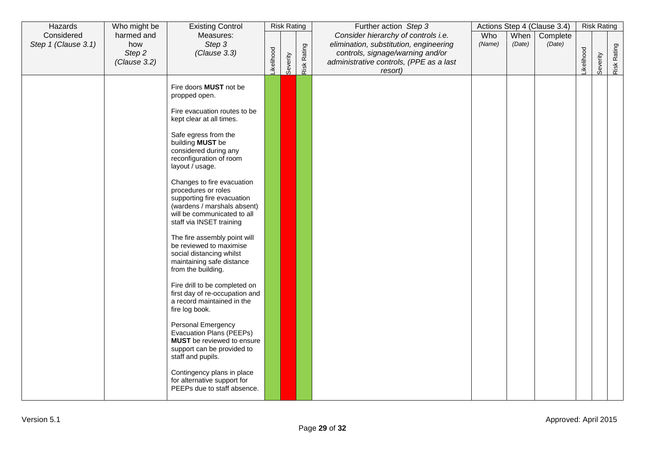| Hazards                           | Who might be                                | <b>Existing Control</b>                                                                                                                                                                                                                                                                                                                                                                                                                                                                                                                                                                                                                        |            | <b>Risk Rating</b> |                    | Further action Step 3                                                                                                                                                   |               |                | Actions Step 4 (Clause 3.4) |                  | <b>Risk Rating</b> |             |
|-----------------------------------|---------------------------------------------|------------------------------------------------------------------------------------------------------------------------------------------------------------------------------------------------------------------------------------------------------------------------------------------------------------------------------------------------------------------------------------------------------------------------------------------------------------------------------------------------------------------------------------------------------------------------------------------------------------------------------------------------|------------|--------------------|--------------------|-------------------------------------------------------------------------------------------------------------------------------------------------------------------------|---------------|----------------|-----------------------------|------------------|--------------------|-------------|
| Considered<br>Step 1 (Clause 3.1) | harmed and<br>how<br>Step 2<br>(Clause 3.2) | Measures:<br>Step 3<br>(Clause 3.3)                                                                                                                                                                                                                                                                                                                                                                                                                                                                                                                                                                                                            | _ikelihood |                    | <b>Risk Rating</b> | Consider hierarchy of controls i.e.<br>elimination, substitution, engineering<br>controls, signage/warning and/or<br>administrative controls, (PPE as a last<br>resort) | Who<br>(Name) | When<br>(Date) | Complete<br>(Date)          | <b>ikelihood</b> | Severity           | Risk Rating |
|                                   |                                             | Fire doors MUST not be<br>propped open.<br>Fire evacuation routes to be<br>kept clear at all times.<br>Safe egress from the<br>building MUST be<br>considered during any<br>reconfiguration of room<br>layout / usage.<br>Changes to fire evacuation<br>procedures or roles<br>supporting fire evacuation<br>(wardens / marshals absent)<br>will be communicated to all<br>staff via INSET training<br>The fire assembly point will<br>be reviewed to maximise<br>social distancing whilst<br>maintaining safe distance<br>from the building.<br>Fire drill to be completed on<br>first day of re-occupation and<br>a record maintained in the |            | Severity           |                    |                                                                                                                                                                         |               |                |                             |                  |                    |             |
|                                   |                                             | fire log book.<br>Personal Emergency<br><b>Evacuation Plans (PEEPs)</b><br><b>MUST</b> be reviewed to ensure<br>support can be provided to<br>staff and pupils.<br>Contingency plans in place<br>for alternative support for<br>PEEPs due to staff absence.                                                                                                                                                                                                                                                                                                                                                                                    |            |                    |                    |                                                                                                                                                                         |               |                |                             |                  |                    |             |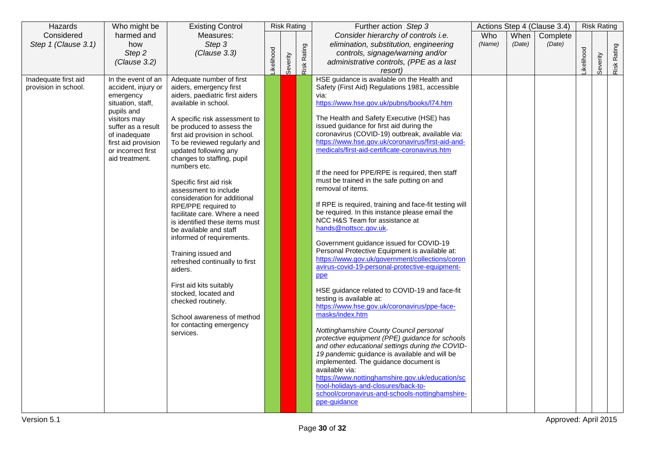| Hazards                                      | Who might be                                                                                                                                                                                                    | <b>Existing Control</b>                                                                                                                                                                                                                                                                                                                                                                                                                                                                                                                                                                                                                                                                                                                                                        |                  | <b>Risk Rating</b> |             | Further action Step 3                                                                                                                                                                                                                                                                                                                                                                                                                                                                                                                                                                                                                                                                                                                                                                                                                                                                                                                                                                                                                                                                                                                                                                                                                                                                                                                                                                                                                                                                    |               |                | Actions Step 4 (Clause 3.4) |                  | <b>Risk Rating</b> |             |
|----------------------------------------------|-----------------------------------------------------------------------------------------------------------------------------------------------------------------------------------------------------------------|--------------------------------------------------------------------------------------------------------------------------------------------------------------------------------------------------------------------------------------------------------------------------------------------------------------------------------------------------------------------------------------------------------------------------------------------------------------------------------------------------------------------------------------------------------------------------------------------------------------------------------------------------------------------------------------------------------------------------------------------------------------------------------|------------------|--------------------|-------------|------------------------------------------------------------------------------------------------------------------------------------------------------------------------------------------------------------------------------------------------------------------------------------------------------------------------------------------------------------------------------------------------------------------------------------------------------------------------------------------------------------------------------------------------------------------------------------------------------------------------------------------------------------------------------------------------------------------------------------------------------------------------------------------------------------------------------------------------------------------------------------------------------------------------------------------------------------------------------------------------------------------------------------------------------------------------------------------------------------------------------------------------------------------------------------------------------------------------------------------------------------------------------------------------------------------------------------------------------------------------------------------------------------------------------------------------------------------------------------------|---------------|----------------|-----------------------------|------------------|--------------------|-------------|
| Considered<br>Step 1 (Clause 3.1)            | harmed and<br>how<br>Step 2<br>(Clause 3.2)                                                                                                                                                                     | Measures:<br>Step 3<br>(Clause 3.3)                                                                                                                                                                                                                                                                                                                                                                                                                                                                                                                                                                                                                                                                                                                                            | <b>ikelihood</b> | Severity           | Risk Rating | Consider hierarchy of controls i.e.<br>elimination, substitution, engineering<br>controls, signage/warning and/or<br>administrative controls, (PPE as a last<br>resort)                                                                                                                                                                                                                                                                                                                                                                                                                                                                                                                                                                                                                                                                                                                                                                                                                                                                                                                                                                                                                                                                                                                                                                                                                                                                                                                  | Who<br>(Name) | When<br>(Date) | Complete<br>(Date)          | <b>ikelihood</b> | Severity           | Risk Rating |
| Inadequate first aid<br>provision in school. | In the event of an<br>accident, injury or<br>emergency<br>situation, staff,<br>pupils and<br>visitors may<br>suffer as a result<br>of inadequate<br>first aid provision<br>or incorrect first<br>aid treatment. | Adequate number of first<br>aiders, emergency first<br>aiders, paediatric first aiders<br>available in school.<br>A specific risk assessment to<br>be produced to assess the<br>first aid provision in school.<br>To be reviewed regularly and<br>updated following any<br>changes to staffing, pupil<br>numbers etc.<br>Specific first aid risk<br>assessment to include<br>consideration for additional<br>RPE/PPE required to<br>facilitate care. Where a need<br>is identified these items must<br>be available and staff<br>informed of requirements.<br>Training issued and<br>refreshed continually to first<br>aiders.<br>First aid kits suitably<br>stocked, located and<br>checked routinely.<br>School awareness of method<br>for contacting emergency<br>services. |                  |                    |             | HSE guidance is available on the Health and<br>Safety (First Aid) Regulations 1981, accessible<br>via:<br>https://www.hse.gov.uk/pubns/books/l74.htm<br>The Health and Safety Executive (HSE) has<br>issued guidance for first aid during the<br>coronavirus (COVID-19) outbreak, available via:<br>https://www.hse.gov.uk/coronavirus/first-aid-and-<br>medicals/first-aid-certificate-coronavirus.htm<br>If the need for PPE/RPE is required, then staff<br>must be trained in the safe putting on and<br>removal of items.<br>If RPE is required, training and face-fit testing will<br>be required. In this instance please email the<br>NCC H&S Team for assistance at<br>hands@nottscc.gov.uk.<br>Government guidance issued for COVID-19<br>Personal Protective Equipment is available at:<br>https://www.gov.uk/government/collections/coron<br>avirus-covid-19-personal-protective-equipment-<br>ppe<br>HSE guidance related to COVID-19 and face-fit<br>testing is available at:<br>https://www.hse.gov.uk/coronavirus/ppe-face-<br>masks/index.htm<br>Nottinghamshire County Council personal<br>protective equipment (PPE) guidance for schools<br>and other educational settings during the COVID-<br>19 pandemic guidance is available and will be<br>implemented. The guidance document is<br>available via:<br>https://www.nottinghamshire.gov.uk/education/sc<br>hool-holidays-and-closures/back-to-<br>school/coronavirus-and-schools-nottinghamshire-<br>ppe-guidance |               |                |                             |                  |                    |             |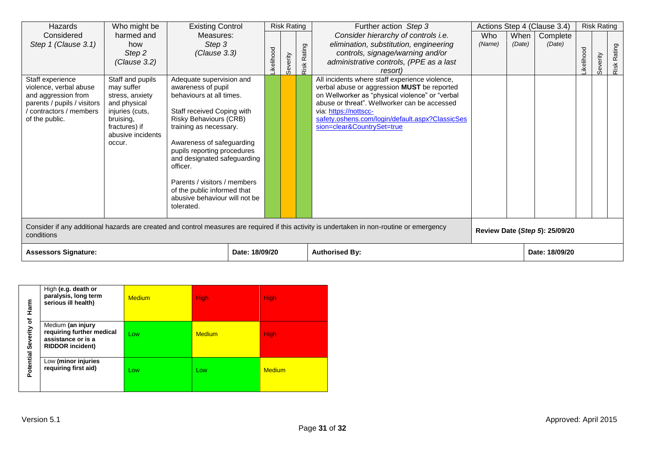| Hazards                                                                                                                                     | Who might be                                                                                                                                      | <b>Existing Control</b>                                                                                                                                                                                                                                                                                                                                                                  |                |                                | <b>Risk Rating</b> |                    | Further action Step 3                                                                                                                                                                                                                                                                                      |                |                | Actions Step 4 (Clause 3.4) |           | <b>Risk Rating</b> |                |
|---------------------------------------------------------------------------------------------------------------------------------------------|---------------------------------------------------------------------------------------------------------------------------------------------------|------------------------------------------------------------------------------------------------------------------------------------------------------------------------------------------------------------------------------------------------------------------------------------------------------------------------------------------------------------------------------------------|----------------|--------------------------------|--------------------|--------------------|------------------------------------------------------------------------------------------------------------------------------------------------------------------------------------------------------------------------------------------------------------------------------------------------------------|----------------|----------------|-----------------------------|-----------|--------------------|----------------|
| Considered<br>Step 1 (Clause 3.1)                                                                                                           | harmed and<br>how<br>Step 2<br>(Clause 3.2)                                                                                                       | Measures:<br>Step 3<br>(Clause 3.3)                                                                                                                                                                                                                                                                                                                                                      |                | <b>ikelihood</b>               | Severity           | <b>Risk Rating</b> | Consider hierarchy of controls i.e.<br>elimination, substitution, engineering<br>controls, signage/warning and/or<br>administrative controls, (PPE as a last<br>resort                                                                                                                                     | Who<br>(Name)  | When<br>(Date) | Complete<br>(Date)          | ikelihood | Severity           | Rating<br>Risk |
| Staff experience<br>violence, verbal abuse<br>and aggression from<br>parents / pupils / visitors<br>contractors / members<br>of the public. | Staff and pupils<br>may suffer<br>stress, anxiety<br>and physical<br>injuries (cuts,<br>bruising,<br>fractures) if<br>abusive incidents<br>occur. | Adequate supervision and<br>awareness of pupil<br>behaviours at all times.<br>Staff received Coping with<br><b>Risky Behaviours (CRB)</b><br>training as necessary.<br>Awareness of safeguarding<br>pupils reporting procedures<br>and designated safeguarding<br>officer.<br>Parents / visitors / members<br>of the public informed that<br>abusive behaviour will not be<br>tolerated. |                |                                |                    |                    | All incidents where staff experience violence,<br>verbal abuse or aggression MUST be reported<br>on Wellworker as "physical violence" or "verbal<br>abuse or threat". Wellworker can be accessed<br>via: https://nottscc-<br>safety.oshens.com/login/default.aspx?ClassicSes<br>sion=clear&CountrySet=true |                |                |                             |           |                    |                |
| conditions                                                                                                                                  | Consider if any additional hazards are created and control measures are required if this activity is undertaken in non-routine or emergency       |                                                                                                                                                                                                                                                                                                                                                                                          |                | Review Date (Step 5): 25/09/20 |                    |                    |                                                                                                                                                                                                                                                                                                            |                |                |                             |           |                    |                |
| <b>Assessors Signature:</b>                                                                                                                 |                                                                                                                                                   |                                                                                                                                                                                                                                                                                                                                                                                          | Date: 18/09/20 |                                |                    |                    | <b>Authorised By:</b>                                                                                                                                                                                                                                                                                      | Date: 18/09/20 |                |                             |           |                    |                |

| Harm<br>$\overline{\mathbf{o}}$ | High (e.g. death or<br>paralysis, long term<br>serious ill health)                              | Medium | <b>High</b>   | <b>High</b>   |
|---------------------------------|-------------------------------------------------------------------------------------------------|--------|---------------|---------------|
| <b>Potential Severity</b>       | Medium (an injury<br>requiring further medical<br>assistance or is a<br><b>RIDDOR incident)</b> | Low    | <b>Medium</b> | <b>High</b>   |
|                                 | Low (minor injuries<br>requiring first aid)                                                     | Low    | Low           | <b>Medium</b> |